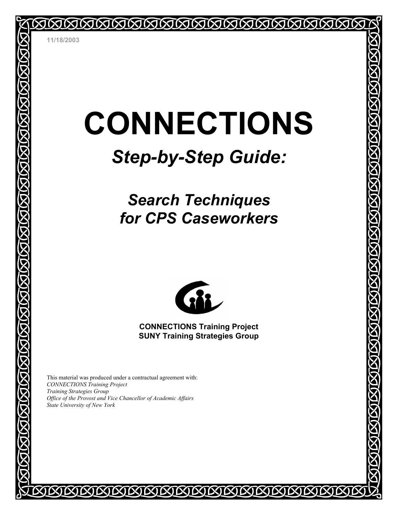# **CONNECTIONS**

**ININININININ** 

# *Step-by-Step Guide:*

## *Search Techniques for CPS Caseworkers*



**CONNECTIONS Training Project SUNY Training Strategies Group** 

IXININININ

This material was produced under a contractual agreement with: *CONNECTIONS Training Project Training Strategies Group Office of the Provost and Vice Chancellor of Academic Affairs State University of New York*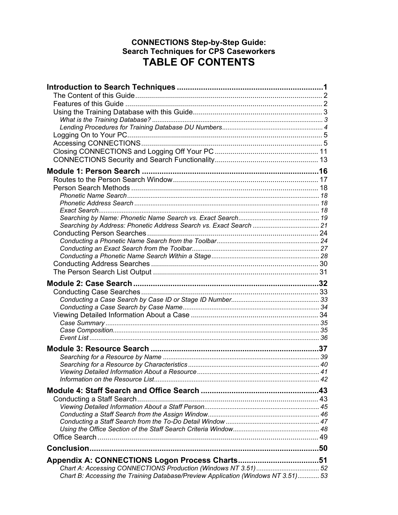#### **CONNECTIONS Step-by-Step Guide: Search Techniques for CPS Caseworkers TABLE OF CONTENTS**

| Chart B: Accessing the Training Database/Preview Application (Windows NT 3.51) 53 |  |
|-----------------------------------------------------------------------------------|--|
|                                                                                   |  |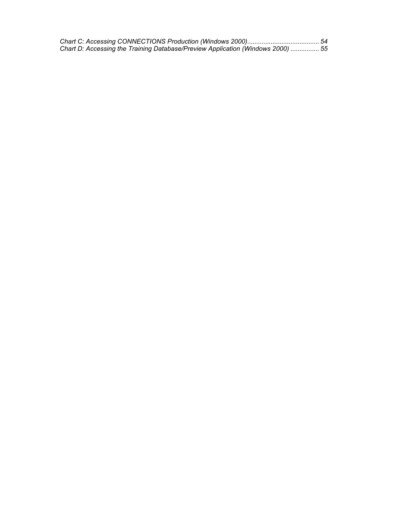| Chart D: Accessing the Training Database/Preview Application (Windows 2000)  55 |  |
|---------------------------------------------------------------------------------|--|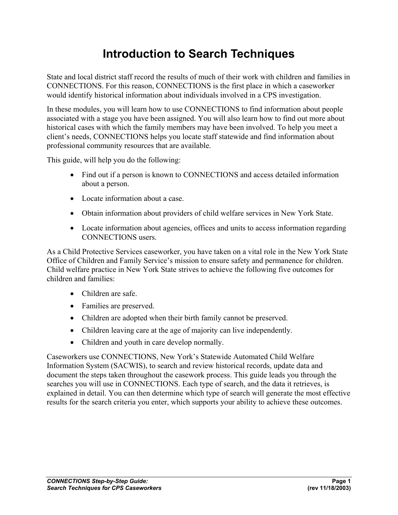### **Introduction to Search Techniques**

State and local district staff record the results of much of their work with children and families in CONNECTIONS. For this reason, CONNECTIONS is the first place in which a caseworker would identify historical information about individuals involved in a CPS investigation.

In these modules, you will learn how to use CONNECTIONS to find information about people associated with a stage you have been assigned. You will also learn how to find out more about historical cases with which the family members may have been involved. To help you meet a client's needs, CONNECTIONS helps you locate staff statewide and find information about professional community resources that are available.

This guide, will help you do the following:

- Find out if a person is known to CONNECTIONS and access detailed information about a person.
- Locate information about a case.
- Obtain information about providers of child welfare services in New York State.
- Locate information about agencies, offices and units to access information regarding CONNECTIONS users.

As a Child Protective Services caseworker, you have taken on a vital role in the New York State Office of Children and Family Service's mission to ensure safety and permanence for children. Child welfare practice in New York State strives to achieve the following five outcomes for children and families:

- Children are safe.
- Families are preserved.
- Children are adopted when their birth family cannot be preserved.
- Children leaving care at the age of majority can live independently.
- Children and youth in care develop normally.

Caseworkers use CONNECTIONS, New York's Statewide Automated Child Welfare Information System (SACWIS), to search and review historical records, update data and document the steps taken throughout the casework process. This guide leads you through the searches you will use in CONNECTIONS. Each type of search, and the data it retrieves, is explained in detail. You can then determine which type of search will generate the most effective results for the search criteria you enter, which supports your ability to achieve these outcomes.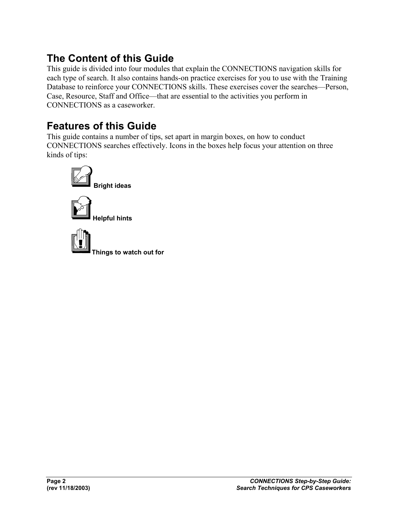### **The Content of this Guide**

This guide is divided into four modules that explain the CONNECTIONS navigation skills for each type of search. It also contains hands-on practice exercises for you to use with the Training Database to reinforce your CONNECTIONS skills. These exercises cover the searches—Person, Case, Resource, Staff and Office—that are essential to the activities you perform in CONNECTIONS as a caseworker.

### **Features of this Guide**

This guide contains a number of tips, set apart in margin boxes, on how to conduct CONNECTIONS searches effectively. Icons in the boxes help focus your attention on three kinds of tips:

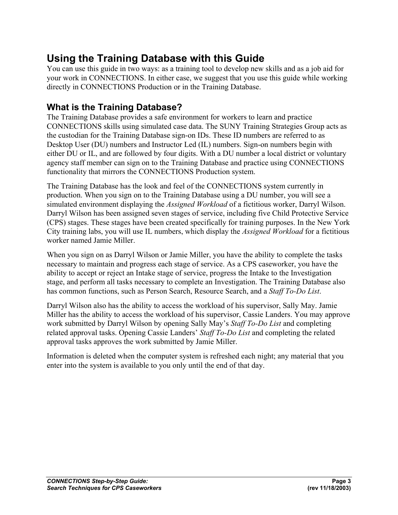### **Using the Training Database with this Guide**

You can use this guide in two ways: as a training tool to develop new skills and as a job aid for your work in CONNECTIONS. In either case, we suggest that you use this guide while working directly in CONNECTIONS Production or in the Training Database.

### **What is the Training Database?**

The Training Database provides a safe environment for workers to learn and practice CONNECTIONS skills using simulated case data. The SUNY Training Strategies Group acts as the custodian for the Training Database sign-on IDs. These ID numbers are referred to as Desktop User (DU) numbers and Instructor Led (IL) numbers. Sign-on numbers begin with either DU or IL, and are followed by four digits. With a DU number a local district or voluntary agency staff member can sign on to the Training Database and practice using CONNECTIONS functionality that mirrors the CONNECTIONS Production system.

The Training Database has the look and feel of the CONNECTIONS system currently in production. When you sign on to the Training Database using a DU number, you will see a simulated environment displaying the *Assigned Workload* of a fictitious worker, Darryl Wilson. Darryl Wilson has been assigned seven stages of service, including five Child Protective Service (CPS) stages. These stages have been created specifically for training purposes. In the New York City training labs, you will use IL numbers, which display the *Assigned Workload* for a fictitious worker named Jamie Miller.

When you sign on as Darryl Wilson or Jamie Miller, you have the ability to complete the tasks necessary to maintain and progress each stage of service. As a CPS caseworker, you have the ability to accept or reject an Intake stage of service, progress the Intake to the Investigation stage, and perform all tasks necessary to complete an Investigation. The Training Database also has common functions, such as Person Search, Resource Search, and a *Staff To-Do List*.

Darryl Wilson also has the ability to access the workload of his supervisor, Sally May. Jamie Miller has the ability to access the workload of his supervisor, Cassie Landers. You may approve work submitted by Darryl Wilson by opening Sally May's *Staff To-Do List* and completing related approval tasks. Opening Cassie Landers' *Staff To-Do List* and completing the related approval tasks approves the work submitted by Jamie Miller.

Information is deleted when the computer system is refreshed each night; any material that you enter into the system is available to you only until the end of that day.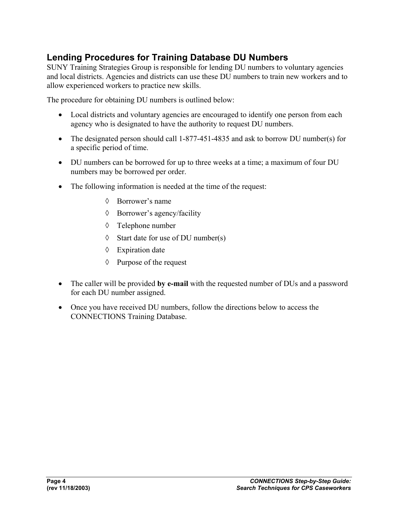### **Lending Procedures for Training Database DU Numbers**

SUNY Training Strategies Group is responsible for lending DU numbers to voluntary agencies and local districts. Agencies and districts can use these DU numbers to train new workers and to allow experienced workers to practice new skills.

The procedure for obtaining DU numbers is outlined below:

- Local districts and voluntary agencies are encouraged to identify one person from each agency who is designated to have the authority to request DU numbers.
- The designated person should call 1-877-451-4835 and ask to borrow DU number(s) for a specific period of time.
- DU numbers can be borrowed for up to three weeks at a time; a maximum of four DU numbers may be borrowed per order.
- The following information is needed at the time of the request:
	- ◊ Borrower's name
	- ◊ Borrower's agency/facility
	- ◊ Telephone number
	- ◊ Start date for use of DU number(s)
	- ◊ Expiration date
	- ◊ Purpose of the request
- The caller will be provided **by e-mail** with the requested number of DUs and a password for each DU number assigned.
- Once you have received DU numbers, follow the directions below to access the CONNECTIONS Training Database.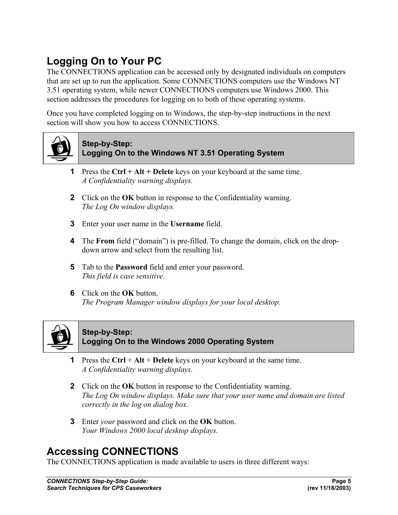### **Logging On to Your PC**

The CONNECTIONS application can be accessed only by designated individuals on computers that are set up to run the application. Some CONNECTIONS computers use the Windows NT 3.51 operating system, while newer CONNECTIONS computers use Windows 2000. This section addresses the procedures for logging on to both of these operating systems.

Once you have completed logging on to Windows, the step-by-step instructions in the next section will show you how to access CONNECTIONS.



#### **Step-by-Step: Logging On to the Windows NT 3.51 Operating System**

- **1** Press the **Ctrl + Alt + Delete** keys on your keyboard at the same time. *A Confidentiality warning displays.*
- **2** Click on the **OK** button in response to the Confidentiality warning. *The Log On window displays.*
- **3** Enter your user name in the **Username** field.
- **4** The **From** field ("domain") is pre-filled. To change the domain, click on the dropdown arrow and select from the resulting list.
- **5** Tab to the **Password** field and enter your password. *This field is case sensitive.*
- **6** Click on the **OK** button. *The Program Manager window displays for your local desktop.*



#### **Step-by-Step: Logging On to the Windows 2000 Operating System**

- **1** Press the **Ctrl** + **Alt** + **Delete** keys on your keyboard at the same time. *A Confidentiality warning displays.*
- **2** Click on the **OK** button in response to the Confidentiality warning. *The Log On window displays. Make sure that your user name and domain are listed correctly in the log on dialog box.*
- **3** Enter *your* password and click on the **OK** button. *Your Windows 2000 local desktop displays.*

### **Accessing CONNECTIONS**

The CONNECTIONS application is made available to users in three different ways: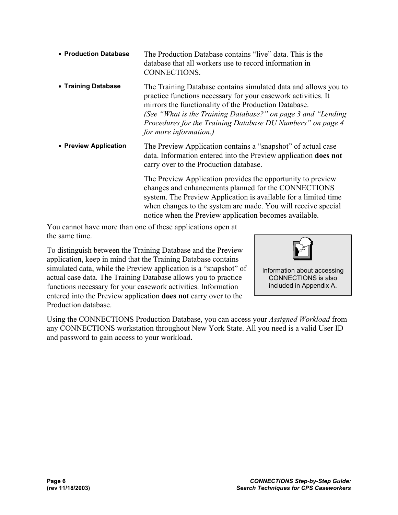| • Production Database | The Production Database contains "live" data. This is the<br>database that all workers use to record information in<br>CONNECTIONS |
|-----------------------|------------------------------------------------------------------------------------------------------------------------------------|
| . Troining Dotaboon   | The Training Detekees contains simulated data and ellevis voy                                                                      |

• **Training Database** The Training Database contains simulated data and allows you to practice functions necessary for your casework activities. It mirrors the functionality of the Production Database. *(See "What is the Training Database?" on page 3 and "Lending Procedures for the Training Database DU Numbers" on page 4 for more information.)*

• **Preview Application** The Preview Application contains a "snapshot" of actual case data. Information entered into the Preview application **does not** carry over to the Production database.

> The Preview Application provides the opportunity to preview changes and enhancements planned for the CONNECTIONS system. The Preview Application is available for a limited time when changes to the system are made. You will receive special notice when the Preview application becomes available.

You cannot have more than one of these applications open at the same time.

To distinguish between the Training Database and the Preview application, keep in mind that the Training Database contains simulated data, while the Preview application is a "snapshot" of actual case data. The Training Database allows you to practice functions necessary for your casework activities. Information entered into the Preview application **does not** carry over to the Production database.



Information about accessing CONNECTIONS is also included in Appendix A.

Using the CONNECTIONS Production Database, you can access your *Assigned Workload* from any CONNECTIONS workstation throughout New York State. All you need is a valid User ID and password to gain access to your workload.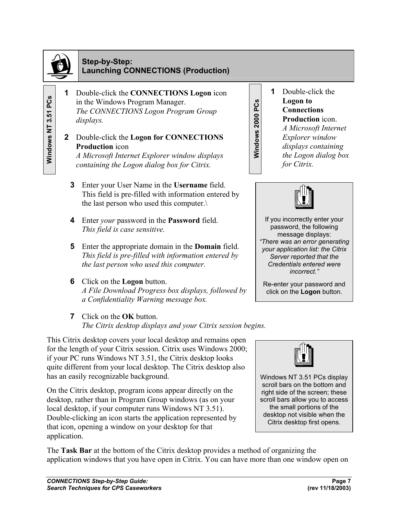

**Windows NT 3.51 PCs** 

### **Step-by-Step: Launching CONNECTIONS (Production)**

- **1** Double-click the **CONNECTIONS Logon** icon in the Windows Program Manager. *The CONNECTIONS Logon Program Group displays.*
- **2** Double-click the **Logon for CONNECTIONS Production** icon *A Microsoft Internet Explorer window displays containing the Logon dialog box for Citrix.*
	- **3** Enter your User Name in the **Username** field. This field is pre-filled with information entered by the last person who used this computer.\
	- **4** Enter *your* password in the **Password** field. *This field is case sensitive.*
	- **5** Enter the appropriate domain in the **Domain** field. *This field is pre-filled with information entered by the last person who used this computer.*
	- **6** Click on the **Logon** button. *A File Download Progress box displays, followed by a Confidentiality Warning message box.*
	- **7** Click on the **OK** button. *The Citrix desktop displays and your Citrix session begins.*

This Citrix desktop covers your local desktop and remains open for the length of your Citrix session. Citrix uses Windows 2000; if your PC runs Windows NT 3.51, the Citrix desktop looks quite different from your local desktop. The Citrix desktop also has an easily recognizable background.

On the Citrix desktop, program icons appear directly on the desktop, rather than in Program Group windows (as on your local desktop, if your computer runs Windows NT 3.51). Double-clicking an icon starts the application represented by that icon, opening a window on your desktop for that application. For the United Virtual Corpulation windows Program Control (CONNECTIONS)<br>
The CONNECTIONS Lagen Program Croup<br>
2 **2** 2 2 bouble-club ited Lagen for CONNECTIONS<br> **Examplement Explorer window displays containing<br>
2 2 2 boub** 

**1** Double-click the **Logon to Connections Production** icon. *A Microsoft Internet Explorer window displays containing the Logon dialog box* 

*for Citrix.*

If you incorrectly enter your password, the following message displays: *"There was an error generating your application list: the Citrix Server reported that the Credentials entered were incorrect."* 

Re-enter your password and click on the **Logon** button*.*



Windows NT 3.51 PCs display scroll bars on the bottom and right side of the screen; these scroll bars allow you to access the small portions of the desktop not visible when the Citrix desktop first opens.

The **Task Bar** at the bottom of the Citrix desktop provides a method of organizing the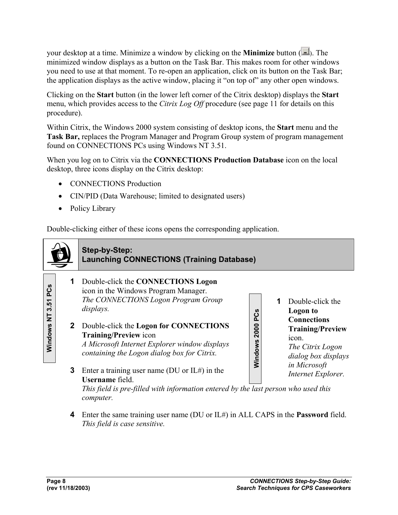your desktop at a time. Minimize a window by clicking on the **Minimize** button ( $\Box$ ). The minimized window displays as a button on the Task Bar. This makes room for other windows you need to use at that moment. To re-open an application, click on its button on the Task Bar; the application displays as the active window, placing it "on top of" any other open windows.

Clicking on the **Start** button (in the lower left corner of the Citrix desktop) displays the **Start**  menu, which provides access to the *Citrix Log Off* procedure (see page 11 for details on this procedure).

Within Citrix, the Windows 2000 system consisting of desktop icons, the **Start** menu and the **Task Bar,** replaces the Program Manager and Program Group system of program management found on CONNECTIONS PCs using Windows NT 3.51.

When you log on to Citrix via the **CONNECTIONS Production Database** icon on the local desktop, three icons display on the Citrix desktop:

- CONNECTIONS Production
- CIN/PID (Data Warehouse; limited to designated users)
- Policy Library

Double-clicking either of these icons opens the corresponding application.

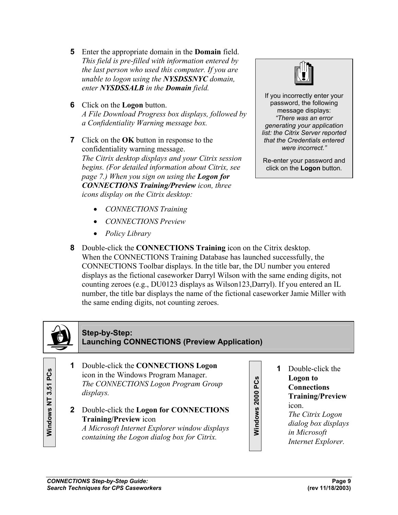- **5** Enter the appropriate domain in the **Domain** field. *This field is pre-filled with information entered by the last person who used this computer. If you are unable to logon using the NYSDSSNYC domain, enter NYSDSSALB in the Domain field.*
- **6** Click on the **Logon** button. *A File Download Progress box displays, followed by a Confidentiality Warning message box.*
- **7** Click on the **OK** button in response to the confidentiality warning message. *The Citrix desktop displays and your Citrix session begins. (For detailed information about Citrix, see page 7.) When you sign on using the Logon for CONNECTIONS Training/Preview icon, three icons display on the Citrix desktop:* 
	- *CONNECTIONS Training*
	- *CONNECTIONS Preview*
	- *Policy Library*



If you incorrectly enter your password, the following message displays: *"There was an error generating your application list: the Citrix Server reported that the Credentials entered were incorrect."* 

Re-enter your password and click on the **Logon** button*.*

**8** Double-click the **CONNECTIONS Training** icon on the Citrix desktop. When the CONNECTIONS Training Database has launched successfully, the CONNECTIONS Toolbar displays. In the title bar, the DU number you entered displays as the fictional caseworker Darryl Wilson with the same ending digits, not counting zeroes (e.g., DU0123 displays as Wilson123,Darryl). If you entered an IL number, the title bar displays the name of the fictional caseworker Jamie Miller with the same ending digits, not counting zeroes.



#### **Step-by-Step: Launching CONNECTIONS (Preview Application)**

- **1** Double-click the **CONNECTIONS Logon** icon in the Windows Program Manager. *The CONNECTIONS Logon Program Group displays.*
- **2** Double-click the **Logon for CONNECTIONS Training/Preview** icon *A Microsoft Internet Explorer window displays containing the Logon dialog box for Citrix.*
- **Windows 2000 PCs**  Windows 2000 PCs
- **1** Double-click the **Logon to Connections Training/Preview** 
	- icon. *The Citrix Logon*
	- *dialog box displays*
	- *in Microsoft*
	- *Internet Explorer.*

**Windows NT 3.51 PCs**  PCS 57 Windows NT 3.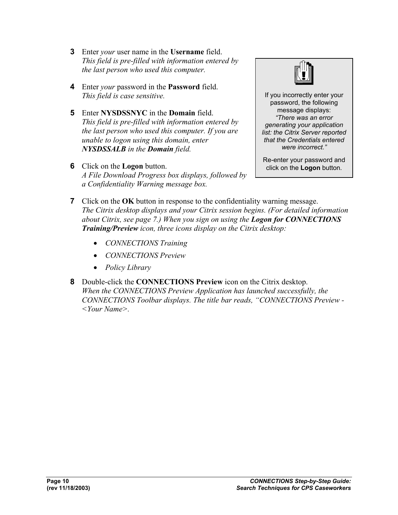- **3** Enter *your* user name in the **Username** field. *This field is pre-filled with information entered by the last person who used this computer.*
- **4** Enter *your* password in the **Password** field. *This field is case sensitive.*
- **5** Enter **NYSDSSNYC** in the **Domain** field. *This field is pre-filled with information entered by the last person who used this computer. If you are unable to logon using this domain, enter NYSDSSALB in the Domain field.*
- **6** Click on the **Logon** button. *A File Download Progress box displays, followed by a Confidentiality Warning message box.*



If you incorrectly enter your password, the following message displays: *"There was an error generating your application list: the Citrix Server reported that the Credentials entered were incorrect."* 

Re-enter your password and click on the **Logon** button*.*

- **7** Click on the **OK** button in response to the confidentiality warning message. *The Citrix desktop displays and your Citrix session begins. (For detailed information about Citrix, see page 7.) When you sign on using the Logon for CONNECTIONS Training/Preview icon, three icons display on the Citrix desktop:* 
	- *CONNECTIONS Training*
	- *CONNECTIONS Preview*
	- *Policy Library*
- **8** Double-click the **CONNECTIONS Preview** icon on the Citrix desktop. *When the CONNECTIONS Preview Application has launched successfully, the CONNECTIONS Toolbar displays. The title bar reads, "CONNECTIONS Preview - <Your Name>.*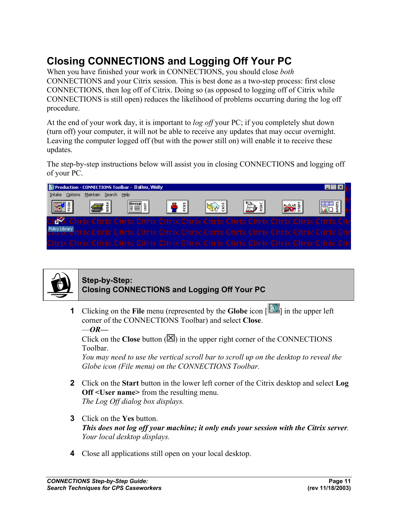### **Closing CONNECTIONS and Logging Off Your PC**

When you have finished your work in CONNECTIONS, you should close *both*  CONNECTIONS and your Citrix session. This is best done as a two-step process: first close CONNECTIONS, then log off of Citrix. Doing so (as opposed to logging off of Citrix while CONNECTIONS is still open) reduces the likelihood of problems occurring during the log off procedure.

At the end of your work day, it is important to *log off* your PC; if you completely shut down (turn off) your computer, it will not be able to receive any updates that may occur overnight. Leaving the computer logged off (but with the power still on) will enable it to receive these updates.

The step-by-step instructions below will assist you in closing CONNECTIONS and logging off of your PC.

| Production - CONNECTIONS Toolbar - Ballou, Wally                                                               |                      |                                                                                          |        |      |            |      |
|----------------------------------------------------------------------------------------------------------------|----------------------|------------------------------------------------------------------------------------------|--------|------|------------|------|
| Intake<br>Options                                                                                              | Maintain Search Help |                                                                                          |        |      |            |      |
| $\mathbb{E}$ $\mathbb{E}$                                                                                      | læ i<br>HEII         | $ \mathbf{P}$ : $ $                                                                      | ISG 51 | P) š | <b>RAY</b> | 黒黒 ( |
| City                                                                                                           |                      | Citrix Citrix Citrix Citrix Citrix Citrix Citrix Citrix Citrix Citrix Citrix Citrix Citr |        |      |            |      |
| Policy Library Ittrix Citrix Citrix Citrix Citrix Citrix Citrix Citrix Citrix Citrix Citrix Citrix Citrix Citr |                      |                                                                                          |        |      |            |      |
| Citrix Citrix Citrix Citrix Citrix Citrix Citrix Citrix Citrix Citrix Citrix Citrix Citrix Citr                |                      |                                                                                          |        |      |            |      |



### **Step-by-Step: Closing CONNECTIONS and Logging Off Your PC**

**1** Clicking on the **File** menu (represented by the **Globe** icon  $\left[\begin{array}{c} \frac{1}{2} \\ 0 \end{array}\right]$  in the upper left corner of the CONNECTIONS Toolbar) and select **Close**.

—*OR—*

Click on the **Close** button  $(\mathbb{Z})$  in the upper right corner of the CONNECTIONS Toolbar.

*You may need to use the vertical scroll bar to scroll up on the desktop to reveal the Globe icon (File menu) on the CONNECTIONS Toolbar.*

- **2** Click on the **Start** button in the lower left corner of the Citrix desktop and select **Log Off <User name>** from the resulting menu. *The Log Off dialog box displays.*
- **3** Click on the **Yes** button. *This does not log off your machine; it only ends your session with the Citrix server. Your local desktop displays.*
- **4** Close all applications still open on your local desktop.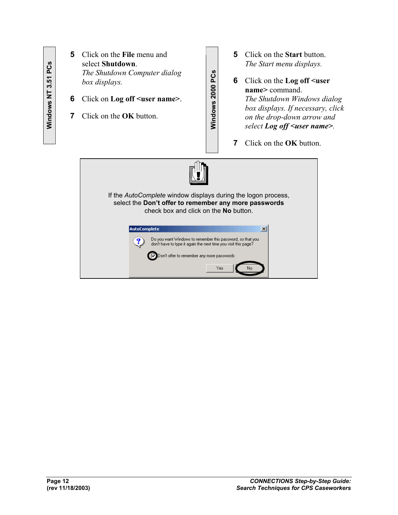- **5** Click on the **File** menu and select **Shutdown**. *The Shutdown Computer dialog box displays.* **6** Click on **Log off <user name>**.
- **7** Click on the **OK** button.
- **5** Click on the **Start** button. *The Start menu displays.*
- **6** Click on the **Log off <user name>** command. *The Shutdown Windows dialog box displays. If necessary, click on the drop-down arrow and select Log off <user name>.*
	- **7** Click on the **OK** button.



**Windows 2000 PCs**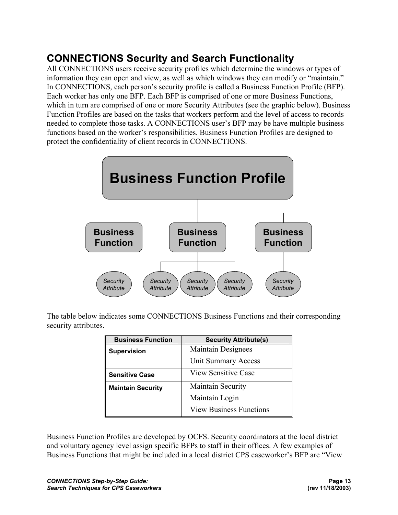### **CONNECTIONS Security and Search Functionality**

All CONNECTIONS users receive security profiles which determine the windows or types of information they can open and view, as well as which windows they can modify or "maintain." In CONNECTIONS, each person's security profile is called a Business Function Profile (BFP). Each worker has only one BFP. Each BFP is comprised of one or more Business Functions, which in turn are comprised of one or more Security Attributes (see the graphic below). Business Function Profiles are based on the tasks that workers perform and the level of access to records needed to complete those tasks. A CONNECTIONS user's BFP may be have multiple business functions based on the worker's responsibilities. Business Function Profiles are designed to protect the confidentiality of client records in CONNECTIONS.



The table below indicates some CONNECTIONS Business Functions and their corresponding security attributes.

| <b>Business Function</b> | <b>Security Attribute(s)</b>   |
|--------------------------|--------------------------------|
| <b>Supervision</b>       | <b>Maintain Designees</b>      |
|                          | Unit Summary Access            |
| <b>Sensitive Case</b>    | <b>View Sensitive Case</b>     |
| <b>Maintain Security</b> | Maintain Security              |
|                          | Maintain Login                 |
|                          | <b>View Business Functions</b> |

Business Function Profiles are developed by OCFS. Security coordinators at the local district and voluntary agency level assign specific BFPs to staff in their offices. A few examples of Business Functions that might be included in a local district CPS caseworker's BFP are "View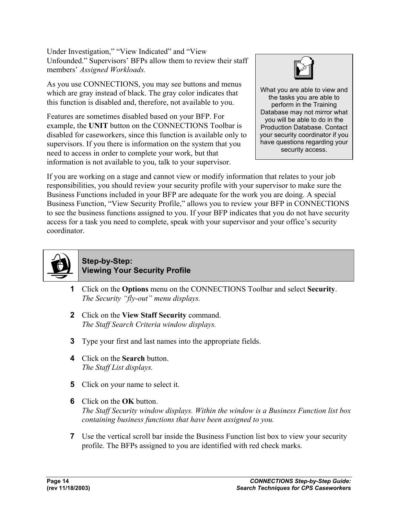Under Investigation," "View Indicated" and "View Unfounded." Supervisors' BFPs allow them to review their staff members' *Assigned Workloads.*

As you use CONNECTIONS, you may see buttons and menus which are gray instead of black. The gray color indicates that this function is disabled and, therefore, not available to you.

Features are sometimes disabled based on your BFP. For example, the **UNIT** button on the CONNECTIONS Toolbar is disabled for caseworkers, since this function is available only to supervisors. If you there is information on the system that you need to access in order to complete your work, but that information is not available to you, talk to your supervisor.



What you are able to view and the tasks you are able to perform in the Training Database may not mirror what you will be able to do in the Production Database. Contact your security coordinator if you have questions regarding your security access.

If you are working on a stage and cannot view or modify information that relates to your job responsibilities, you should review your security profile with your supervisor to make sure the Business Functions included in your BFP are adequate for the work you are doing. A special Business Function, "View Security Profile," allows you to review your BFP in CONNECTIONS to see the business functions assigned to you. If your BFP indicates that you do not have security access for a task you need to complete, speak with your supervisor and your office's security coordinator.



#### **Step-by-Step: Viewing Your Security Profile**

- **1** Click on the **Options** menu on the CONNECTIONS Toolbar and select **Security**. *The Security "fly-out" menu displays.*
- **2** Click on the **View Staff Security** command. *The Staff Search Criteria window displays.*
- **3** Type your first and last names into the appropriate fields.
- **4** Click on the **Search** button. *The Staff List displays.*
- **5** Click on your name to select it.
- **6** Click on the **OK** button. *The Staff Security window displays. Within the window is a Business Function list box containing business functions that have been assigned to you.*
- **7** Use the vertical scroll bar inside the Business Function list box to view your security profile. The BFPs assigned to you are identified with red check marks.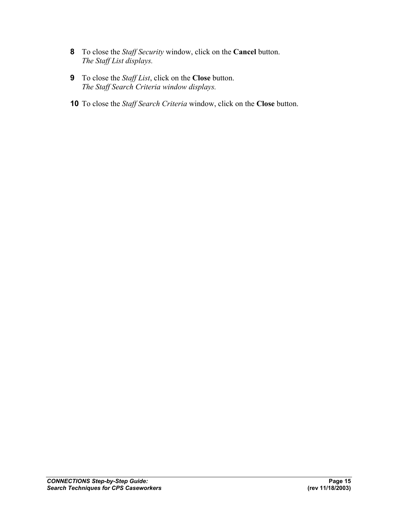- **8** To close the *Staff Security* window, click on the **Cancel** button. *The Staff List displays.*
- **9** To close the *Staff List*, click on the **Close** button. *The Staff Search Criteria window displays.*
- **10** To close the *Staff Search Criteria* window, click on the **Close** button.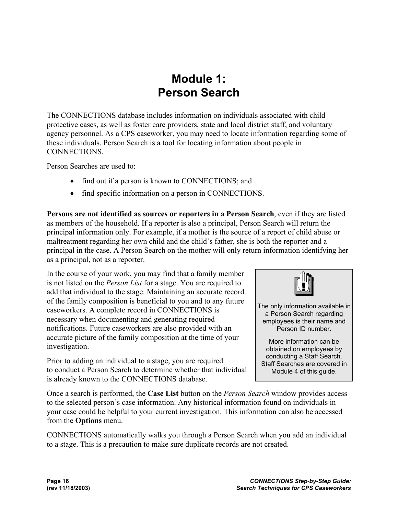### **Module 1: Person Search**

The CONNECTIONS database includes information on individuals associated with child protective cases, as well as foster care providers, state and local district staff, and voluntary agency personnel. As a CPS caseworker, you may need to locate information regarding some of these individuals. Person Search is a tool for locating information about people in CONNECTIONS.

Person Searches are used to:

- find out if a person is known to CONNECTIONS; and
- find specific information on a person in CONNECTIONS.

**Persons are not identified as sources or reporters in a Person Search**, even if they are listed as members of the household. If a reporter is also a principal, Person Search will return the principal information only. For example, if a mother is the source of a report of child abuse or maltreatment regarding her own child and the child's father, she is both the reporter and a principal in the case. A Person Search on the mother will only return information identifying her as a principal, not as a reporter.

In the course of your work, you may find that a family member is not listed on the *Person List* for a stage. You are required to add that individual to the stage. Maintaining an accurate record of the family composition is beneficial to you and to any future caseworkers. A complete record in CONNECTIONS is necessary when documenting and generating required notifications. Future caseworkers are also provided with an accurate picture of the family composition at the time of your investigation.

Prior to adding an individual to a stage, you are required to conduct a Person Search to determine whether that individual is already known to the CONNECTIONS database.



The only information available in a Person Search regarding employees is their name and Person ID number.

More information can be obtained on employees by conducting a Staff Search. Staff Searches are covered in Module 4 of this guide.

Once a search is performed, the **Case List** button on the *Person Search* window provides access to the selected person's case information. Any historical information found on individuals in your case could be helpful to your current investigation. This information can also be accessed from the **Options** menu.

CONNECTIONS automatically walks you through a Person Search when you add an individual to a stage. This is a precaution to make sure duplicate records are not created.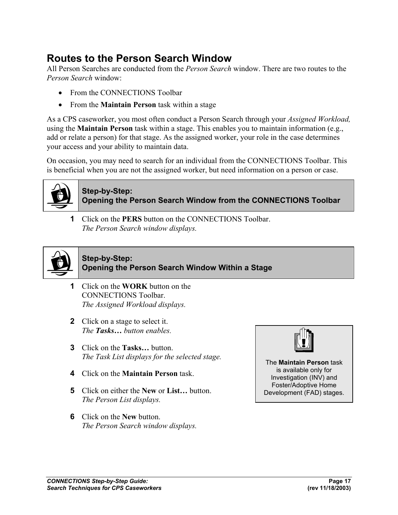### **Routes to the Person Search Window**

All Person Searches are conducted from the *Person Search* window. There are two routes to the *Person Search* window:

- From the CONNECTIONS Toolbar
- From the **Maintain Person** task within a stage

As a CPS caseworker, you most often conduct a Person Search through your *Assigned Workload,* using the **Maintain Person** task within a stage. This enables you to maintain information (e.g., add or relate a person) for that stage. As the assigned worker, your role in the case determines your access and your ability to maintain data.

On occasion, you may need to search for an individual from the CONNECTIONS Toolbar. This is beneficial when you are not the assigned worker, but need information on a person or case.



### **Step-by-Step: Opening the Person Search Window from the CONNECTIONS Toolbar**

**1** Click on the **PERS** button on the CONNECTIONS Toolbar. *The Person Search window displays.* 



#### **Step-by-Step: Opening the Person Search Window Within a Stage**

- **1** Click on the **WORK** button on the CONNECTIONS Toolbar. *The Assigned Workload displays.*
- **2** Click on a stage to select it. *The Tasks… button enables.*
- **3** Click on the **Tasks…** button. *The Task List displays for the selected stage.*
- **4** Click on the **Maintain Person** task.
- **5** Click on either the **New** or **List…** button. *The Person List displays.*
- **6** Click on the **New** button. *The Person Search window displays.*



The **Maintain Person** task is available only for Investigation (INV) and Foster/Adoptive Home Development (FAD) stages.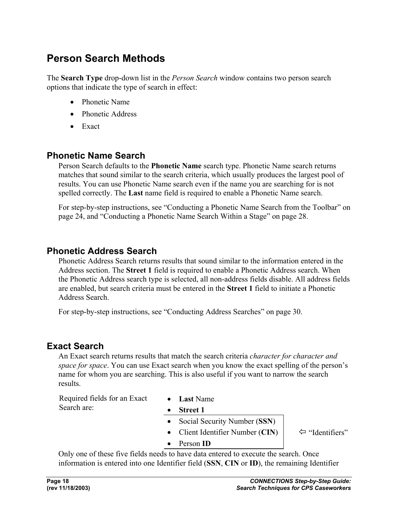### **Person Search Methods**

The **Search Type** drop-down list in the *Person Search* window contains two person search options that indicate the type of search in effect:

- Phonetic Name
- Phonetic Address
- Exact

### **Phonetic Name Search**

Person Search defaults to the **Phonetic Name** search type. Phonetic Name search returns matches that sound similar to the search criteria, which usually produces the largest pool of results. You can use Phonetic Name search even if the name you are searching for is not spelled correctly. The **Last** name field is required to enable a Phonetic Name search.

For step-by-step instructions, see "Conducting a Phonetic Name Search from the Toolbar" on page 24, and "Conducting a Phonetic Name Search Within a Stage" on page 28.

### **Phonetic Address Search**

Phonetic Address Search returns results that sound similar to the information entered in the Address section. The **Street 1** field is required to enable a Phonetic Address search. When the Phonetic Address search type is selected, all non-address fields disable. All address fields are enabled, but search criteria must be entered in the **Street 1** field to initiate a Phonetic Address Search.

For step-by-step instructions, see "Conducting Address Searches" on page 30.

### **Exact Search**

An Exact search returns results that match the search criteria *character for character and space for space*. You can use Exact search when you know the exact spelling of the person's name for whom you are searching. This is also useful if you want to narrow the search results.

Required fields for an Exact Search are:

- **Last** Name
- **Street 1** 
	- Social Security Number (**SSN**)
	- Client Identifier Number  $(CIN)$   $\Leftrightarrow$  "Identifiers"
	- Person **ID**

Only one of these five fields needs to have data entered to execute the search. Once information is entered into one Identifier field (**SSN**, **CIN** or **ID**), the remaining Identifier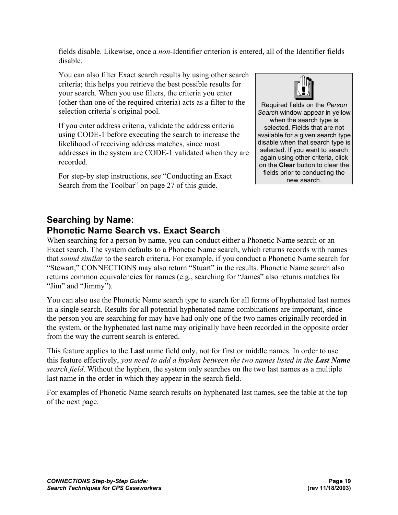fields disable. Likewise, once a *non*-Identifier criterion is entered, all of the Identifier fields disable.

You can also filter Exact search results by using other search criteria; this helps you retrieve the best possible results for your search. When you use filters, the criteria you enter (other than one of the required criteria) acts as a filter to the selection criteria's original pool.

If you enter address criteria, validate the address criteria using CODE-1 before executing the search to increase the likelihood of receiving address matches, since most addresses in the system are CODE-1 validated when they are recorded.

For step-by step instructions, see "Conducting an Exact Search from the Toolbar" on page 27 of this guide.



Required fields on the *Person Search* window appear in yellow when the search type is selected. Fields that are not available for a given search type disable when that search type is selected. If you want to search again using other criteria, click on the **Clear** button to clear the fields prior to conducting the new search.

### **Searching by Name: Phonetic Name Search vs. Exact Search**

When searching for a person by name, you can conduct either a Phonetic Name search or an Exact search. The system defaults to a Phonetic Name search, which returns records with names that *sound similar* to the search criteria. For example, if you conduct a Phonetic Name search for "Stewart," CONNECTIONS may also return "Stuart" in the results. Phonetic Name search also returns common equivalencies for names (e.g., searching for "James" also returns matches for "Jim" and "Jimmy").

You can also use the Phonetic Name search type to search for all forms of hyphenated last names in a single search. Results for all potential hyphenated name combinations are important, since the person you are searching for may have had only one of the two names originally recorded in the system, or the hyphenated last name may originally have been recorded in the opposite order from the way the current search is entered.

This feature applies to the **Last** name field only, not for first or middle names. In order to use this feature effectively, *you need to add a hyphen between the two names listed in the Last Name search field*. Without the hyphen, the system only searches on the two last names as a multiple last name in the order in which they appear in the search field.

For examples of Phonetic Name search results on hyphenated last names, see the table at the top of the next page.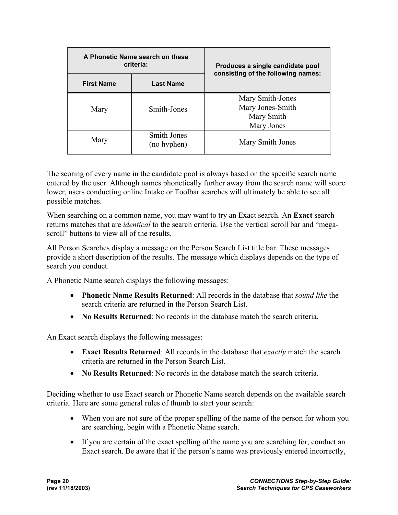| A Phonetic Name search on these |                                   |                                                                        |  |
|---------------------------------|-----------------------------------|------------------------------------------------------------------------|--|
|                                 | criteria:                         | Produces a single candidate pool<br>consisting of the following names: |  |
| <b>First Name</b>               | <b>Last Name</b>                  |                                                                        |  |
| Mary                            | Smith-Jones                       | Mary Smith-Jones<br>Mary Jones-Smith<br>Mary Smith<br>Mary Jones       |  |
| Mary                            | <b>Smith Jones</b><br>(no hyphen) | Mary Smith Jones                                                       |  |

The scoring of every name in the candidate pool is always based on the specific search name entered by the user. Although names phonetically further away from the search name will score lower, users conducting online Intake or Toolbar searches will ultimately be able to see all possible matches.

When searching on a common name, you may want to try an Exact search. An **Exact** search returns matches that are *identical* to the search criteria. Use the vertical scroll bar and "megascroll" buttons to view all of the results.

All Person Searches display a message on the Person Search List title bar. These messages provide a short description of the results. The message which displays depends on the type of search you conduct.

A Phonetic Name search displays the following messages:

- **Phonetic Name Results Returned**: All records in the database that *sound like* the search criteria are returned in the Person Search List.
- **No Results Returned**: No records in the database match the search criteria.

An Exact search displays the following messages:

- **Exact Results Returned**: All records in the database that *exactly* match the search criteria are returned in the Person Search List.
- **No Results Returned**: No records in the database match the search criteria.

Deciding whether to use Exact search or Phonetic Name search depends on the available search criteria. Here are some general rules of thumb to start your search:

- When you are not sure of the proper spelling of the name of the person for whom you are searching, begin with a Phonetic Name search.
- If you are certain of the exact spelling of the name you are searching for, conduct an Exact search. Be aware that if the person's name was previously entered incorrectly,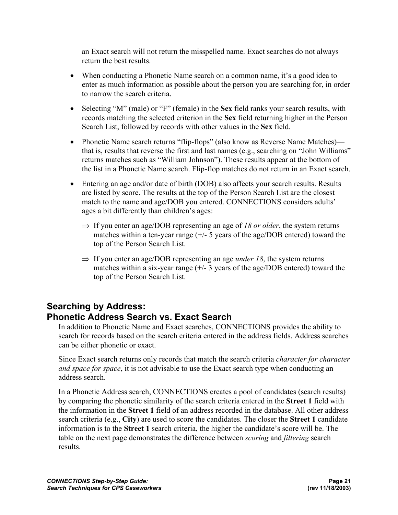an Exact search will not return the misspelled name. Exact searches do not always return the best results.

- When conducting a Phonetic Name search on a common name, it's a good idea to enter as much information as possible about the person you are searching for, in order to narrow the search criteria.
- Selecting "M" (male) or "F" (female) in the **Sex** field ranks your search results, with records matching the selected criterion in the **Sex** field returning higher in the Person Search List, followed by records with other values in the **Sex** field.
- Phonetic Name search returns "flip-flops" (also know as Reverse Name Matches) that is, results that reverse the first and last names (e.g., searching on "John Williams" returns matches such as "William Johnson"). These results appear at the bottom of the list in a Phonetic Name search. Flip-flop matches do not return in an Exact search.
- Entering an age and/or date of birth (DOB) also affects your search results. Results are listed by score. The results at the top of the Person Search List are the closest match to the name and age/DOB you entered. CONNECTIONS considers adults' ages a bit differently than children's ages:
	- ⇒ If you enter an age/DOB representing an age of *18 or older*, the system returns matches within a ten-year range  $(+/- 5$  years of the age/DOB entered) toward the top of the Person Search List.
	- ⇒ If you enter an age/DOB representing an age *under 18*, the system returns matches within a six-year range  $(+/- 3$  years of the age/DOB entered) toward the top of the Person Search List.

### **Searching by Address: Phonetic Address Search vs. Exact Search**

In addition to Phonetic Name and Exact searches, CONNECTIONS provides the ability to search for records based on the search criteria entered in the address fields. Address searches can be either phonetic or exact.

Since Exact search returns only records that match the search criteria *character for character and space for space*, it is not advisable to use the Exact search type when conducting an address search.

In a Phonetic Address search, CONNECTIONS creates a pool of candidates (search results) by comparing the phonetic similarity of the search criteria entered in the **Street 1** field with the information in the **Street 1** field of an address recorded in the database. All other address search criteria (e.g., **City**) are used to score the candidates. The closer the **Street 1** candidate information is to the **Street 1** search criteria, the higher the candidate's score will be. The table on the next page demonstrates the difference between *scoring* and *filtering* search results.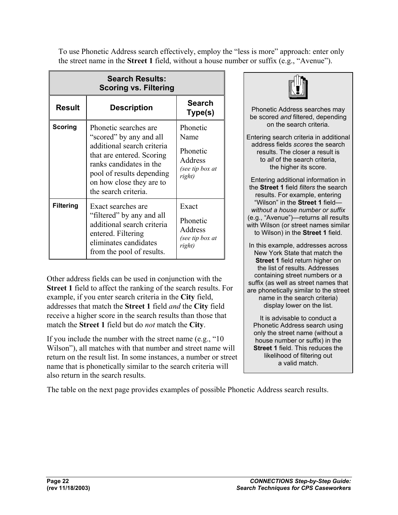To use Phonetic Address search effectively, employ the "less is more" approach: enter only the street name in the **Street 1** field, without a house number or suffix (e.g., "Avenue").

| <b>Search Results:</b><br><b>Scoring vs. Filtering</b> |                                                                                                                                                                                                                         |                                                                      |
|--------------------------------------------------------|-------------------------------------------------------------------------------------------------------------------------------------------------------------------------------------------------------------------------|----------------------------------------------------------------------|
| <b>Result</b>                                          | <b>Description</b>                                                                                                                                                                                                      | <b>Search</b><br>Type(s)                                             |
| <b>Scoring</b>                                         | Phonetic searches are<br>"scored" by any and all<br>additional search criteria<br>that are entered. Scoring<br>ranks candidates in the<br>pool of results depending<br>on how close they are to<br>the search criteria. | Phonetic<br>Name<br>Phonetic<br>Address<br>(see tip box at<br>right) |
| <b>Filtering</b>                                       | Exact searches are<br>"filtered" by any and all<br>additional search criteria<br>entered. Filtering<br>eliminates candidates<br>from the pool of results.                                                               | Exact<br>Phonetic<br>Address<br>(see tip box at<br>right)            |

Other address fields can be used in conjunction with the **Street 1** field to affect the ranking of the search results. For example, if you enter search criteria in the **City** field, addresses that match the **Street 1** field *and* the **City** field receive a higher score in the search results than those that match the **Street 1** field but do *not* match the **City**.

If you include the number with the street name (e.g., "10 Wilson"), all matches with that number and street name will return on the result list. In some instances, a number or street name that is phonetically similar to the search criteria will also return in the search results.



Phonetic Address searches may be scored *and* filtered, depending on the search criteria.

Entering search criteria in additional address fields *scores* the search results. The closer a result is to *all* of the search criteria, the higher its score.

Entering additional information in the **Street 1** field *filters* the search results. For example, entering "Wilson" in the **Street 1** field *without a house number or suffix*  (e.g., "Avenue")—returns all results with Wilson (or street names similar to Wilson) in the **Street 1** field.

In this example, addresses across New York State that match the **Street 1** field return higher on the list of results. Addresses containing street numbers or a suffix (as well as street names that are phonetically similar to the street name in the search criteria) display lower on the list.

It is advisable to conduct a Phonetic Address search using only the street name (without a house number or suffix) in the **Street 1** field. This reduces the likelihood of filtering out a valid match.

The table on the next page provides examples of possible Phonetic Address search results.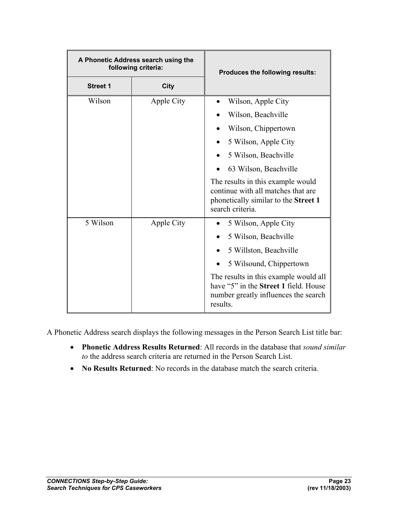| A Phonetic Address search using the<br>following criteria: |            | Produces the following results:                                                                                                           |
|------------------------------------------------------------|------------|-------------------------------------------------------------------------------------------------------------------------------------------|
| <b>Street 1</b>                                            | City       |                                                                                                                                           |
| Wilson                                                     | Apple City | Wilson, Apple City                                                                                                                        |
|                                                            |            | Wilson, Beachville                                                                                                                        |
|                                                            |            | Wilson, Chippertown                                                                                                                       |
|                                                            |            | 5 Wilson, Apple City                                                                                                                      |
|                                                            |            | 5 Wilson, Beachville                                                                                                                      |
|                                                            |            | 63 Wilson, Beachville                                                                                                                     |
|                                                            |            | The results in this example would<br>continue with all matches that are<br>phonetically similar to the Street 1<br>search criteria.       |
| 5 Wilson                                                   | Apple City | 5 Wilson, Apple City                                                                                                                      |
|                                                            |            | 5 Wilson, Beachville                                                                                                                      |
|                                                            |            | 5 Willston, Beachville                                                                                                                    |
|                                                            |            | 5 Wilsound, Chippertown                                                                                                                   |
|                                                            |            | The results in this example would all<br>have "5" in the <b>Street 1</b> field. House<br>number greatly influences the search<br>results. |

A Phonetic Address search displays the following messages in the Person Search List title bar:

- **Phonetic Address Results Returned**: All records in the database that *sound similar to* the address search criteria are returned in the Person Search List.
- **No Results Returned**: No records in the database match the search criteria.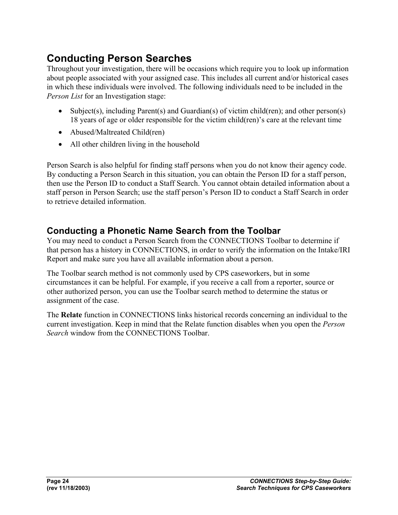### **Conducting Person Searches**

Throughout your investigation, there will be occasions which require you to look up information about people associated with your assigned case. This includes all current and/or historical cases in which these individuals were involved. The following individuals need to be included in the *Person List* for an Investigation stage:

- Subject(s), including Parent(s) and Guardian(s) of victim child(ren); and other person(s) 18 years of age or older responsible for the victim child(ren)'s care at the relevant time
- Abused/Maltreated Child(ren)
- All other children living in the household

Person Search is also helpful for finding staff persons when you do not know their agency code. By conducting a Person Search in this situation, you can obtain the Person ID for a staff person, then use the Person ID to conduct a Staff Search. You cannot obtain detailed information about a staff person in Person Search; use the staff person's Person ID to conduct a Staff Search in order to retrieve detailed information.

### **Conducting a Phonetic Name Search from the Toolbar**

You may need to conduct a Person Search from the CONNECTIONS Toolbar to determine if that person has a history in CONNECTIONS, in order to verify the information on the Intake/IRI Report and make sure you have all available information about a person.

The Toolbar search method is not commonly used by CPS caseworkers, but in some circumstances it can be helpful. For example, if you receive a call from a reporter, source or other authorized person, you can use the Toolbar search method to determine the status or assignment of the case.

The **Relate** function in CONNECTIONS links historical records concerning an individual to the current investigation. Keep in mind that the Relate function disables when you open the *Person Search* window from the CONNECTIONS Toolbar.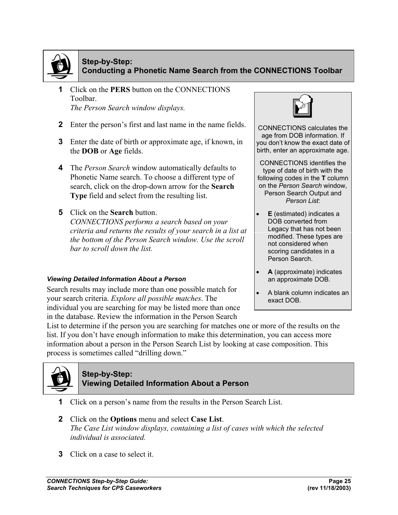

#### **Step-by-Step: Conducting a Phonetic Name Search from the CONNECTIONS Toolbar**

- **1** Click on the **PERS** button on the CONNECTIONS Toolbar. *The Person Search window displays.*
- **2** Enter the person's first and last name in the name fields.
- **3** Enter the date of birth or approximate age, if known, in the **DOB** or **Age** fields.
- **4** The *Person Search* window automatically defaults to Phonetic Name search. To choose a different type of search, click on the drop-down arrow for the **Search Type** field and select from the resulting list.
- **5** Click on the **Search** button.

*CONNECTIONS performs a search based on your criteria and returns the results of your search in a list at the bottom of the Person Search window. Use the scroll bar to scroll down the list.* 

#### *Viewing Detailed Information About a Person*

Search results may include more than one possible match for your search criteria. *Explore all possible matches*. The individual you are searching for may be listed more than once in the database. Review the information in the Person Search



CONNECTIONS calculates the age from DOB information. If you don't know the exact date of birth, enter an approximate age.

CONNECTIONS identifies the type of date of birth with the following codes in the **T** column on the *Person Search* window, Person Search Output and *Person List*:

- **E** (estimated) indicates a DOB converted from Legacy that has not been modified. These types are not considered when scoring candidates in a Person Search.
- **A** (approximate) indicates an approximate DOB.
- A blank column indicates an exact DOB.

List to determine if the person you are searching for matches one or more of the results on the list. If you don't have enough information to make this determination, you can access more information about a person in the Person Search List by looking at case composition. This process is sometimes called "drilling down."



#### **Step-by-Step: Viewing Detailed Information About a Person**

- **1** Click on a person's name from the results in the Person Search List.
- **2** Click on the **Options** menu and select **Case List**. *The Case List window displays, containing a list of cases with which the selected individual is associated.*
- **3** Click on a case to select it.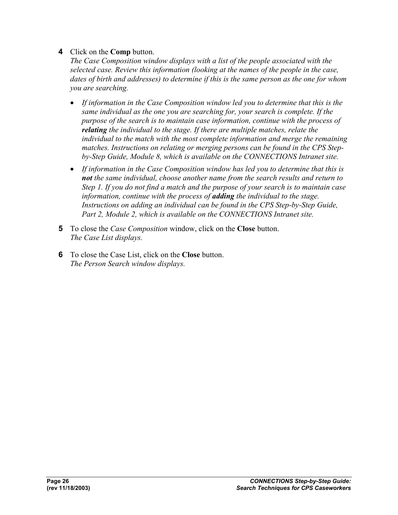#### **4** Click on the **Comp** button.

*The Case Composition window displays with a list of the people associated with the selected case. Review this information (looking at the names of the people in the case, dates of birth and addresses) to determine if this is the same person as the one for whom you are searching.* 

- *If information in the Case Composition window led you to determine that this is the same individual as the one you are searching for, your search is complete. If the purpose of the search is to maintain case information, continue with the process of relating the individual to the stage. If there are multiple matches, relate the individual to the match with the most complete information and merge the remaining matches. Instructions on relating or merging persons can be found in the CPS Stepby-Step Guide, Module 8, which is available on the CONNECTIONS Intranet site.*
- *If information in the Case Composition window has led you to determine that this is not the same individual, choose another name from the search results and return to Step 1. If you do not find a match and the purpose of your search is to maintain case information, continue with the process of adding the individual to the stage.*  Instructions on adding an individual can be found in the CPS Step-by-Step Guide, *Part 2, Module 2, which is available on the CONNECTIONS Intranet site.*
- **5** To close the *Case Composition* window, click on the **Close** button. *The Case List displays.*
- **6** To close the Case List, click on the **Close** button. *The Person Search window displays.*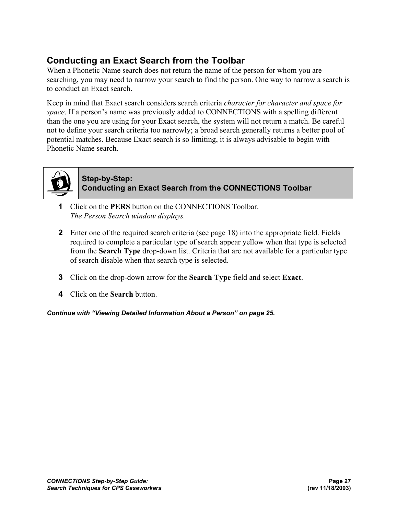### **Conducting an Exact Search from the Toolbar**

When a Phonetic Name search does not return the name of the person for whom you are searching, you may need to narrow your search to find the person. One way to narrow a search is to conduct an Exact search.

Keep in mind that Exact search considers search criteria *character for character and space for space*. If a person's name was previously added to CONNECTIONS with a spelling different than the one you are using for your Exact search, the system will not return a match. Be careful not to define your search criteria too narrowly; a broad search generally returns a better pool of potential matches. Because Exact search is so limiting, it is always advisable to begin with Phonetic Name search.



#### **Step-by-Step: Conducting an Exact Search from the CONNECTIONS Toolbar**

- **1** Click on the **PERS** button on the CONNECTIONS Toolbar. *The Person Search window displays.*
- **2** Enter one of the required search criteria (see page 18) into the appropriate field. Fields required to complete a particular type of search appear yellow when that type is selected from the **Search Type** drop-down list. Criteria that are not available for a particular type of search disable when that search type is selected.
- **3** Click on the drop-down arrow for the **Search Type** field and select **Exact**.
- **4** Click on the **Search** button.

*Continue with "Viewing Detailed Information About a Person" on page 25.*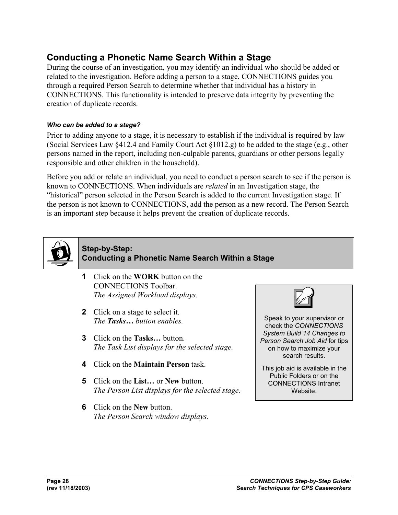### **Conducting a Phonetic Name Search Within a Stage**

During the course of an investigation, you may identify an individual who should be added or related to the investigation. Before adding a person to a stage, CONNECTIONS guides you through a required Person Search to determine whether that individual has a history in CONNECTIONS. This functionality is intended to preserve data integrity by preventing the creation of duplicate records.

#### *Who can be added to a stage?*

Prior to adding anyone to a stage, it is necessary to establish if the individual is required by law (Social Services Law §412.4 and Family Court Act §1012.g) to be added to the stage (e.g., other persons named in the report, including non-culpable parents, guardians or other persons legally responsible and other children in the household).

Before you add or relate an individual, you need to conduct a person search to see if the person is known to CONNECTIONS. When individuals are *related* in an Investigation stage, the "historical" person selected in the Person Search is added to the current Investigation stage. If the person is not known to CONNECTIONS, add the person as a new record. The Person Search is an important step because it helps prevent the creation of duplicate records.



#### **Step-by-Step: Conducting a Phonetic Name Search Within a Stage**

- **1** Click on the **WORK** button on the CONNECTIONS Toolbar. *The Assigned Workload displays.*
- **2** Click on a stage to select it. *The Tasks… button enables.*
- **3** Click on the **Tasks…** button. *The Task List displays for the selected stage.*
- **4** Click on the **Maintain Person** task.
- **5** Click on the **List…** or **New** button. *The Person List displays for the selected stage.*
- **6** Click on the **New** button. *The Person Search window displays.*



Speak to your supervisor or check the *CONNECTIONS System Build 14 Changes to Person Search Job Aid* for tips on how to maximize your search results.

This job aid is available in the Public Folders or on the CONNECTIONS Intranet Website.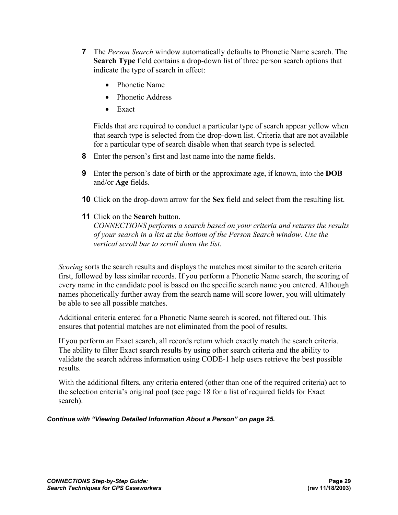- **7** The *Person Search* window automatically defaults to Phonetic Name search. The **Search Type** field contains a drop-down list of three person search options that indicate the type of search in effect:
	- Phonetic Name
	- Phonetic Address
	- Exact

Fields that are required to conduct a particular type of search appear yellow when that search type is selected from the drop-down list. Criteria that are not available for a particular type of search disable when that search type is selected.

- **8** Enter the person's first and last name into the name fields.
- **9** Enter the person's date of birth or the approximate age, if known, into the **DOB** and/or **Age** fields.
- **10** Click on the drop-down arrow for the **Sex** field and select from the resulting list.
- **11** Click on the **Search** button.

*CONNECTIONS performs a search based on your criteria and returns the results of your search in a list at the bottom of the Person Search window. Use the vertical scroll bar to scroll down the list.* 

*Scoring* sorts the search results and displays the matches most similar to the search criteria first, followed by less similar records. If you perform a Phonetic Name search, the scoring of every name in the candidate pool is based on the specific search name you entered. Although names phonetically further away from the search name will score lower, you will ultimately be able to see all possible matches.

Additional criteria entered for a Phonetic Name search is scored, not filtered out. This ensures that potential matches are not eliminated from the pool of results.

If you perform an Exact search, all records return which exactly match the search criteria. The ability to filter Exact search results by using other search criteria and the ability to validate the search address information using CODE-1 help users retrieve the best possible results.

With the additional filters, any criteria entered (other than one of the required criteria) act to the selection criteria's original pool (see page 18 for a list of required fields for Exact search).

#### *Continue with "Viewing Detailed Information About a Person" on page 25.*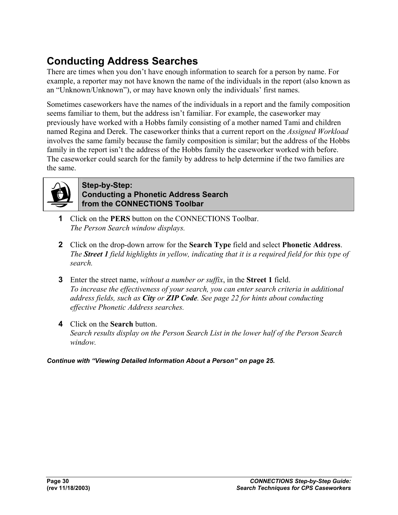### **Conducting Address Searches**

There are times when you don't have enough information to search for a person by name. For example, a reporter may not have known the name of the individuals in the report (also known as an "Unknown/Unknown"), or may have known only the individuals' first names.

Sometimes caseworkers have the names of the individuals in a report and the family composition seems familiar to them, but the address isn't familiar. For example, the caseworker may previously have worked with a Hobbs family consisting of a mother named Tami and children named Regina and Derek. The caseworker thinks that a current report on the *Assigned Workload* involves the same family because the family composition is similar; but the address of the Hobbs family in the report isn't the address of the Hobbs family the caseworker worked with before. The caseworker could search for the family by address to help determine if the two families are the same.



#### **Step-by-Step: Conducting a Phonetic Address Search from the CONNECTIONS Toolbar**

- **1** Click on the **PERS** button on the CONNECTIONS Toolbar. *The Person Search window displays.*
- **2** Click on the drop-down arrow for the **Search Type** field and select **Phonetic Address**. *The Street 1 field highlights in yellow, indicating that it is a required field for this type of search.*
- **3** Enter the street name, *without a number or suffix*, in the **Street 1** field. *To increase the effectiveness of your search, you can enter search criteria in additional address fields, such as City or ZIP Code. See page 22 for hints about conducting effective Phonetic Address searches.*
- **4** Click on the **Search** button. *Search results display on the Person Search List in the lower half of the Person Search window.*

#### *Continue with "Viewing Detailed Information About a Person" on page 25.*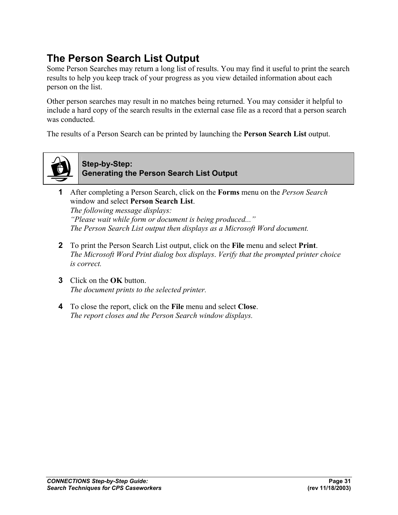### **The Person Search List Output**

Some Person Searches may return a long list of results. You may find it useful to print the search results to help you keep track of your progress as you view detailed information about each person on the list.

Other person searches may result in no matches being returned. You may consider it helpful to include a hard copy of the search results in the external case file as a record that a person search was conducted.

The results of a Person Search can be printed by launching the **Person Search List** output.



**Step-by-Step: Generating the Person Search List Output**

- **1** After completing a Person Search, click on the **Forms** menu on the *Person Search* window and select **Person Search List**. *The following message displays: "Please wait while form or document is being produced..." The Person Search List output then displays as a Microsoft Word document.*
- **2** To print the Person Search List output, click on the **File** menu and select **Print**. *The Microsoft Word Print dialog box displays*. *Verify that the prompted printer choice is correct.*
- **3** Click on the **OK** button. *The document prints to the selected printer.*
- **4** To close the report, click on the **File** menu and select **Close**. *The report closes and the Person Search window displays.*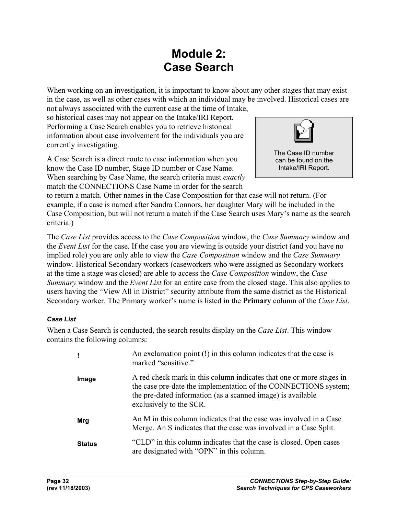### **Module 2: Case Search**

When working on an investigation, it is important to know about any other stages that may exist in the case, as well as other cases with which an individual may be involved. Historical cases are not always associated with the current case at the time of Intake,

so historical cases may not appear on the Intake/IRI Report. Performing a Case Search enables you to retrieve historical information about case involvement for the individuals you are currently investigating.

A Case Search is a direct route to case information when you know the Case ID number, Stage ID number or Case Name. When searching by Case Name, the search criteria must *exactly* match the CONNECTIONS Case Name in order for the search



to return a match. Other names in the Case Composition for that case will not return. (For example, if a case is named after Sandra Connors, her daughter Mary will be included in the Case Composition, but will not return a match if the Case Search uses Mary's name as the search criteria.)

The *Case List* provides access to the *Case Composition* window, the *Case Summary* window and the *Event List* for the case. If the case you are viewing is outside your district (and you have no implied role) you are only able to view the *Case Composition* window and the *Case Summary* window. Historical Secondary workers (caseworkers who were assigned as Secondary workers at the time a stage was closed) are able to access the *Case Composition* window, the *Case Summary* window and the *Event List* for an entire case from the closed stage. This also applies to users having the "View All in District" security attribute from the same district as the Historical Secondary worker. The Primary worker's name is listed in the **Primary** column of the *Case List*.

#### *Case List*

When a Case Search is conducted, the search results display on the *Case List*. This window contains the following columns:

|               | An exclamation point (!) in this column indicates that the case is<br>marked "sensitive."                                                                                                                                         |
|---------------|-----------------------------------------------------------------------------------------------------------------------------------------------------------------------------------------------------------------------------------|
| Image         | A red check mark in this column indicates that one or more stages in<br>the case pre-date the implementation of the CONNECTIONS system;<br>the pre-dated information (as a scanned image) is available<br>exclusively to the SCR. |
| Mrg           | An M in this column indicates that the case was involved in a Case<br>Merge. An S indicates that the case was involved in a Case Split.                                                                                           |
| <b>Status</b> | "CLD" in this column indicates that the case is closed. Open cases<br>are designated with "OPN" in this column.                                                                                                                   |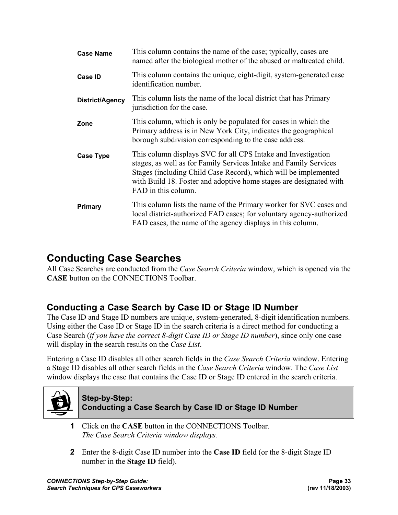| <b>Case Name</b> | This column contains the name of the case; typically, cases are<br>named after the biological mother of the abused or maltreated child.                                                                                                                                                            |
|------------------|----------------------------------------------------------------------------------------------------------------------------------------------------------------------------------------------------------------------------------------------------------------------------------------------------|
| <b>Case ID</b>   | This column contains the unique, eight-digit, system-generated case<br>identification number.                                                                                                                                                                                                      |
| District/Agency  | This column lists the name of the local district that has Primary<br>jurisdiction for the case.                                                                                                                                                                                                    |
| Zone             | This column, which is only be populated for cases in which the<br>Primary address is in New York City, indicates the geographical<br>borough subdivision corresponding to the case address.                                                                                                        |
| <b>Case Type</b> | This column displays SVC for all CPS Intake and Investigation<br>stages, as well as for Family Services Intake and Family Services<br>Stages (including Child Case Record), which will be implemented<br>with Build 18. Foster and adoptive home stages are designated with<br>FAD in this column. |
| Primary          | This column lists the name of the Primary worker for SVC cases and<br>local district-authorized FAD cases; for voluntary agency-authorized<br>FAD cases, the name of the agency displays in this column.                                                                                           |

### **Conducting Case Searches**

All Case Searches are conducted from the *Case Search Criteria* window, which is opened via the **CASE** button on the CONNECTIONS Toolbar.

### **Conducting a Case Search by Case ID or Stage ID Number**

The Case ID and Stage ID numbers are unique, system-generated, 8-digit identification numbers. Using either the Case ID or Stage ID in the search criteria is a direct method for conducting a Case Search (*if you have the correct 8-digit Case ID or Stage ID number*), since only one case will display in the search results on the *Case List*.

Entering a Case ID disables all other search fields in the *Case Search Criteria* window. Entering a Stage ID disables all other search fields in the *Case Search Criteria* window. The *Case List*  window displays the case that contains the Case ID or Stage ID entered in the search criteria.



#### **Step-by-Step: Conducting a Case Search by Case ID or Stage ID Number**

- **1** Click on the **CASE** button in the CONNECTIONS Toolbar. *The Case Search Criteria window displays.*
- **2** Enter the 8-digit Case ID number into the **Case ID** field (or the 8-digit Stage ID number in the **Stage ID** field).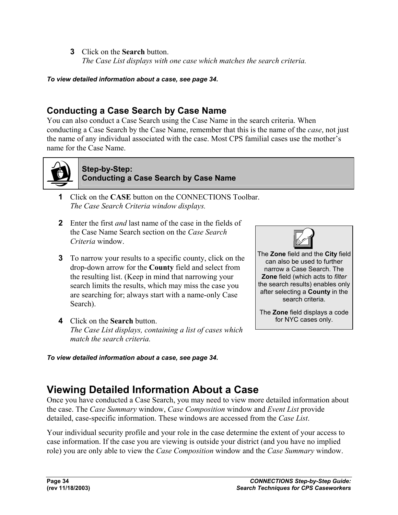**3** Click on the **Search** button. *The Case List displays with one case which matches the search criteria.*

*To view detailed information about a case, see page 34.* 

### **Conducting a Case Search by Case Name**

You can also conduct a Case Search using the Case Name in the search criteria. When conducting a Case Search by the Case Name, remember that this is the name of the *case*, not just the name of any individual associated with the case. Most CPS familial cases use the mother's name for the Case Name.



#### **Step-by-Step: Conducting a Case Search by Case Name**

- **1** Click on the **CASE** button on the CONNECTIONS Toolbar. *The Case Search Criteria window displays.*
- **2** Enter the first *and* last name of the case in the fields of the Case Name Search section on the *Case Search Criteria* window.
- **3** To narrow your results to a specific county, click on the drop-down arrow for the **County** field and select from the resulting list. (Keep in mind that narrowing your search limits the results, which may miss the case you are searching for; always start with a name-only Case Search).
- **4** Click on the **Search** button. *The Case List displays, containing a list of cases which match the search criteria.*

The **Zone** field and the **City** field can also be used to further narrow a Case Search. The **Zone** field (which acts to *filter*  the search results) enables only after selecting a **County** in the search criteria.

The **Zone** field displays a code for NYC cases only.

*To view detailed information about a case, see page 34.* 

### **Viewing Detailed Information About a Case**

Once you have conducted a Case Search, you may need to view more detailed information about the case. The *Case Summary* window, *Case Composition* window and *Event List* provide detailed, case-specific information. These windows are accessed from the *Case List*.

Your individual security profile and your role in the case determine the extent of your access to case information. If the case you are viewing is outside your district (and you have no implied role) you are only able to view the *Case Composition* window and the *Case Summary* window.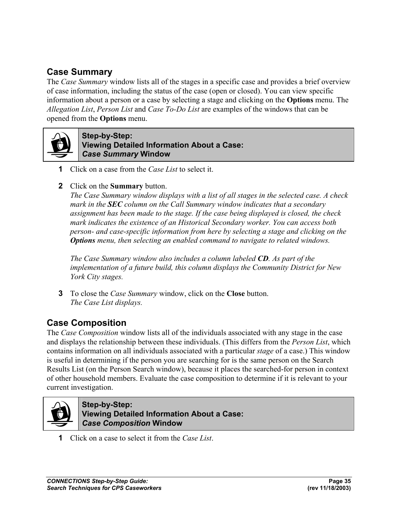### **Case Summary**

The *Case Summary* window lists all of the stages in a specific case and provides a brief overview of case information, including the status of the case (open or closed). You can view specific information about a person or a case by selecting a stage and clicking on the **Options** menu. The *Allegation List*, *Person List* and *Case To-Do List* are examples of the windows that can be opened from the **Options** menu.



**Step-by-Step: Viewing Detailed Information About a Case:**  *Case Summary* **Window**

- **1** Click on a case from the *Case List* to select it.
- **2** Click on the **Summary** button.

*The Case Summary window displays with a list of all stages in the selected case. A check mark in the SEC column on the Call Summary window indicates that a secondary assignment has been made to the stage. If the case being displayed is closed, the check mark indicates the existence of an Historical Secondary worker. You can access both person- and case-specific information from here by selecting a stage and clicking on the Options menu, then selecting an enabled command to navigate to related windows.* 

*The Case Summary window also includes a column labeled CD. As part of the implementation of a future build, this column displays the Community District for New York City stages.* 

**3** To close the *Case Summary* window, click on the **Close** button. *The Case List displays.*

### **Case Composition**

The *Case Composition* window lists all of the individuals associated with any stage in the case and displays the relationship between these individuals. (This differs from the *Person List*, which contains information on all individuals associated with a particular *stage* of a case.) This window is useful in determining if the person you are searching for is the same person on the Search Results List (on the Person Search window), because it places the searched-for person in context of other household members. Evaluate the case composition to determine if it is relevant to your current investigation.



**Step-by-Step: Viewing Detailed Information About a Case:**  *Case Composition* **Window**

**1** Click on a case to select it from the *Case List*.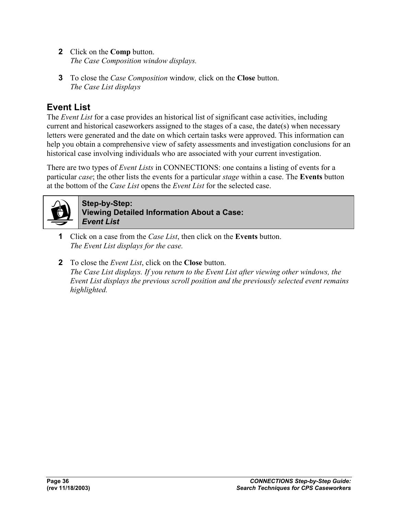- **2** Click on the **Comp** button. *The Case Composition window displays.*
- **3** To close the *Case Composition* window*,* click on the **Close** button. *The Case List displays*

### **Event List**

The *Event List* for a case provides an historical list of significant case activities, including current and historical caseworkers assigned to the stages of a case, the date(s) when necessary letters were generated and the date on which certain tasks were approved. This information can help you obtain a comprehensive view of safety assessments and investigation conclusions for an historical case involving individuals who are associated with your current investigation.

There are two types of *Event Lists* in CONNECTIONS: one contains a listing of events for a particular *case*; the other lists the events for a particular *stage* within a case. The **Events** button at the bottom of the *Case List* opens the *Event List* for the selected case.



**Step-by-Step: Viewing Detailed Information About a Case:**  *Event List*

- **1** Click on a case from the *Case List*, then click on the **Events** button. *The Event List displays for the case.*
- **2** To close the *Event List*, click on the **Close** button. *The Case List displays. If you return to the Event List after viewing other windows, the Event List displays the previous scroll position and the previously selected event remains highlighted.*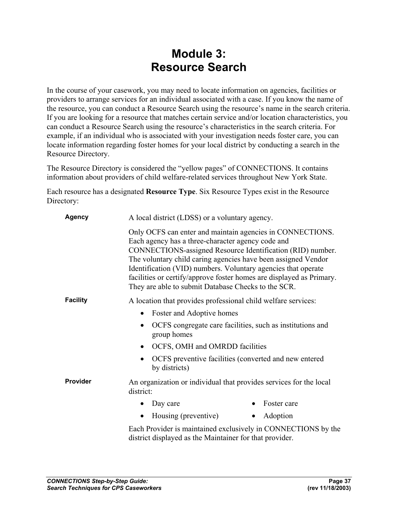### **Module 3: Resource Search**

In the course of your casework, you may need to locate information on agencies, facilities or providers to arrange services for an individual associated with a case. If you know the name of the resource, you can conduct a Resource Search using the resource's name in the search criteria. If you are looking for a resource that matches certain service and/or location characteristics, you can conduct a Resource Search using the resource's characteristics in the search criteria. For example, if an individual who is associated with your investigation needs foster care, you can locate information regarding foster homes for your local district by conducting a search in the Resource Directory.

The Resource Directory is considered the "yellow pages" of CONNECTIONS. It contains information about providers of child welfare-related services throughout New York State.

Each resource has a designated **Resource Type**. Six Resource Types exist in the Resource Directory:

| <b>Agency</b>   | A local district (LDSS) or a voluntary agency.                                                                                                                                                                                                                                                                                                                                                                                                |
|-----------------|-----------------------------------------------------------------------------------------------------------------------------------------------------------------------------------------------------------------------------------------------------------------------------------------------------------------------------------------------------------------------------------------------------------------------------------------------|
|                 | Only OCFS can enter and maintain agencies in CONNECTIONS.<br>Each agency has a three-character agency code and<br>CONNECTIONS-assigned Resource Identification (RID) number.<br>The voluntary child caring agencies have been assigned Vendor<br>Identification (VID) numbers. Voluntary agencies that operate<br>facilities or certify/approve foster homes are displayed as Primary.<br>They are able to submit Database Checks to the SCR. |
| <b>Facility</b> | A location that provides professional child welfare services:                                                                                                                                                                                                                                                                                                                                                                                 |
|                 | Foster and Adoptive homes                                                                                                                                                                                                                                                                                                                                                                                                                     |
|                 | OCFS congregate care facilities, such as institutions and<br>group homes                                                                                                                                                                                                                                                                                                                                                                      |
|                 | OCFS, OMH and OMRDD facilities<br>$\bullet$                                                                                                                                                                                                                                                                                                                                                                                                   |
|                 | OCFS preventive facilities (converted and new entered<br>by districts)                                                                                                                                                                                                                                                                                                                                                                        |
| Provider        | An organization or individual that provides services for the local<br>district:                                                                                                                                                                                                                                                                                                                                                               |
|                 | Foster care<br>Day care                                                                                                                                                                                                                                                                                                                                                                                                                       |
|                 | Housing (preventive)<br>Adoption<br>$\bullet$<br>$\bullet$                                                                                                                                                                                                                                                                                                                                                                                    |
|                 | Each Provider is maintained exclusively in CONNECTIONS by the<br>district displayed as the Maintainer for that provider.                                                                                                                                                                                                                                                                                                                      |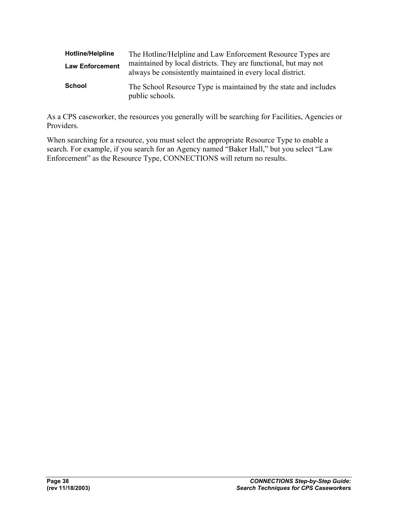| <b>Hotline/Helpline</b> | The Hotline/Helpline and Law Enforcement Resource Types are                                                                   |
|-------------------------|-------------------------------------------------------------------------------------------------------------------------------|
| <b>Law Enforcement</b>  | maintained by local districts. They are functional, but may not<br>always be consistently maintained in every local district. |
| School                  | The School Resource Type is maintained by the state and includes<br>public schools.                                           |

As a CPS caseworker, the resources you generally will be searching for Facilities, Agencies or Providers.

When searching for a resource, you must select the appropriate Resource Type to enable a search. For example, if you search for an Agency named "Baker Hall," but you select "Law Enforcement" as the Resource Type, CONNECTIONS will return no results.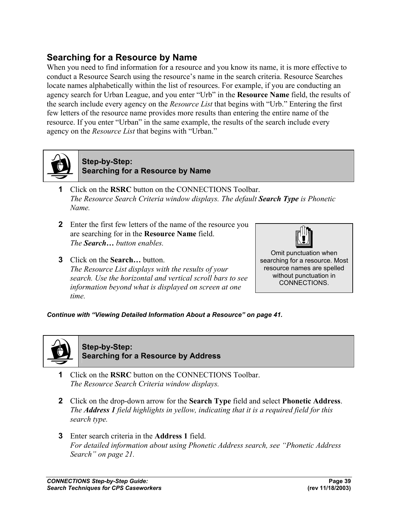### **Searching for a Resource by Name**

When you need to find information for a resource and you know its name, it is more effective to conduct a Resource Search using the resource's name in the search criteria. Resource Searches locate names alphabetically within the list of resources. For example, if you are conducting an agency search for Urban League, and you enter "Urb" in the **Resource Name** field, the results of the search include every agency on the *Resource List* that begins with "Urb." Entering the first few letters of the resource name provides more results than entering the entire name of the resource. If you enter "Urban" in the same example, the results of the search include every agency on the *Resource List* that begins with "Urban."



**Step-by-Step: Searching for a Resource by Name**

- **1** Click on the **RSRC** button on the CONNECTIONS Toolbar. *The Resource Search Criteria window displays. The default Search Type is Phonetic Name.*
- **2** Enter the first few letters of the name of the resource you are searching for in the **Resource Name** field. *The Search… button enables.*
- **3** Click on the **Search…** button. *The Resource List displays with the results of your search. Use the horizontal and vertical scroll bars to see information beyond what is displayed on screen at one time.*



Omit punctuation when searching for a resource. Most resource names are spelled without punctuation in CONNECTIONS.

*Continue with "Viewing Detailed Information About a Resource" on page 41.* 



**Step-by-Step: Searching for a Resource by Address**

- **1** Click on the **RSRC** button on the CONNECTIONS Toolbar. *The Resource Search Criteria window displays.*
- **2** Click on the drop-down arrow for the **Search Type** field and select **Phonetic Address**. *The Address 1 field highlights in yellow, indicating that it is a required field for this search type.*
- **3** Enter search criteria in the **Address 1** field. *For detailed information about using Phonetic Address search, see "Phonetic Address Search" on page 21.*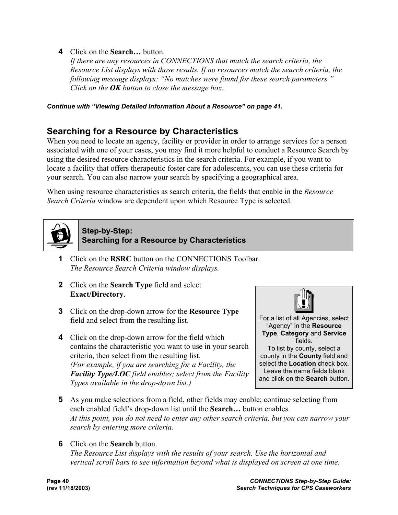**4** Click on the **Search…** button.

*If there are any resources in CONNECTIONS that match the search criteria, the Resource List displays with those results. If no resources match the search criteria, the following message displays: "No matches were found for these search parameters." Click on the OK button to close the message box.*

*Continue with "Viewing Detailed Information About a Resource" on page 41.* 

### **Searching for a Resource by Characteristics**

When you need to locate an agency, facility or provider in order to arrange services for a person associated with one of your cases, you may find it more helpful to conduct a Resource Search by using the desired resource characteristics in the search criteria. For example, if you want to locate a facility that offers therapeutic foster care for adolescents, you can use these criteria for your search. You can also narrow your search by specifying a geographical area.

When using resource characteristics as search criteria, the fields that enable in the *Resource Search Criteria* window are dependent upon which Resource Type is selected.



#### **Step-by-Step: Searching for a Resource by Characteristics**

- **1** Click on the **RSRC** button on the CONNECTIONS Toolbar. *The Resource Search Criteria window displays.*
- **2** Click on the **Search Type** field and select **Exact/Directory**.
- **3** Click on the drop-down arrow for the **Resource Type** field and select from the resulting list.
- **4** Click on the drop-down arrow for the field which contains the characteristic you want to use in your search criteria, then select from the resulting list. *(For example, if you are searching for a Facility, the Facility Type/LOC field enables; select from the Facility Types available in the drop-down list.)*



For a list of all Agencies, select "Agency" in the **Resource Type**, **Category** and **Service** fields. To list by county, select a county in the **County** field and

select the **Location** check box. Leave the name fields blank and click on the **Search** button.

- **5** As you make selections from a field, other fields may enable; continue selecting from each enabled field's drop-down list until the **Search…** button enables. *At this point, you do not need to enter any other search criteria, but you can narrow your search by entering more criteria.*
- **6** Click on the **Search** button.

*The Resource List displays with the results of your search. Use the horizontal and vertical scroll bars to see information beyond what is displayed on screen at one time.*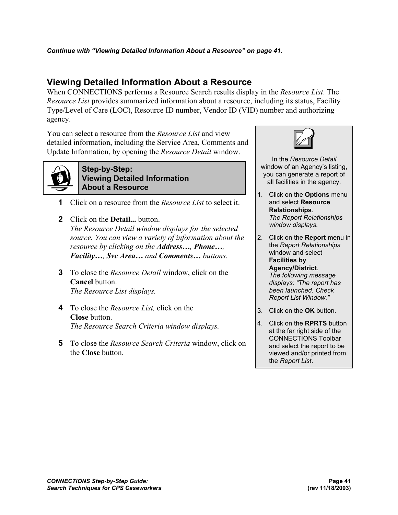### **Viewing Detailed Information About a Resource**

When CONNECTIONS performs a Resource Search results display in the *Resource List*. The *Resource List* provides summarized information about a resource, including its status, Facility Type/Level of Care (LOC), Resource ID number, Vendor ID (VID) number and authorizing agency.

You can select a resource from the *Resource List* and view detailed information, including the Service Area, Comments and Update Information, by opening the *Resource Detail* window.



#### **Step-by-Step: Viewing Detailed Information About a Resource**

- **1** Click on a resource from the *Resource List* to select it.
- **2** Click on the **Detail...** button. *The Resource Detail window displays for the selected source. You can view a variety of information about the resource by clicking on the Address…, Phone…, Facility…, Svc Area… and Comments… buttons.*
- **3** To close the *Resource Detail* window, click on the **Cancel** button. *The Resource List displays.*
- **4** To close the *Resource List,* click on the **Close** button. *The Resource Search Criteria window displays.*
- **5** To close the *Resource Search Criteria* window, click on the **Close** button.



 In the *Resource Detail* window of an Agency's listing, you can generate a report of all facilities in the agency.

- 1. Click on the **Options** menu and select **Resource Relationships**. *The Report Relationships window displays.*
- 2. Click on the **Report** menu in the *Report Relationships* window and select **Facilities by Agency/District**. *The following message displays: "The report has been launched. Check Report List Window."*
- 3. Click on the **OK** button.
- 4. Click on the **RPRTS** button at the far right side of the CONNECTIONS Toolbar and select the report to be viewed and/or printed from the *Report List*.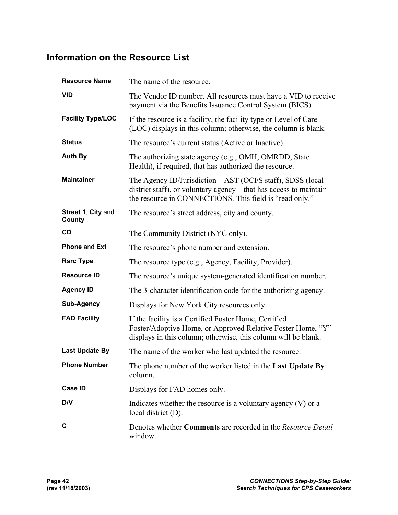### **Information on the Resource List**

| <b>Resource Name</b>         | The name of the resource.                                                                                                                                                               |
|------------------------------|-----------------------------------------------------------------------------------------------------------------------------------------------------------------------------------------|
| <b>VID</b>                   | The Vendor ID number. All resources must have a VID to receive<br>payment via the Benefits Issuance Control System (BICS).                                                              |
| <b>Facility Type/LOC</b>     | If the resource is a facility, the facility type or Level of Care<br>(LOC) displays in this column; otherwise, the column is blank.                                                     |
| <b>Status</b>                | The resource's current status (Active or Inactive).                                                                                                                                     |
| <b>Auth By</b>               | The authorizing state agency (e.g., OMH, OMRDD, State<br>Health), if required, that has authorized the resource.                                                                        |
| <b>Maintainer</b>            | The Agency ID/Jurisdiction—AST (OCFS staff), SDSS (local<br>district staff), or voluntary agency—that has access to maintain<br>the resource in CONNECTIONS. This field is "read only." |
| Street 1, City and<br>County | The resource's street address, city and county.                                                                                                                                         |
| <b>CD</b>                    | The Community District (NYC only).                                                                                                                                                      |
| Phone and Ext                | The resource's phone number and extension.                                                                                                                                              |
| <b>Rsrc Type</b>             | The resource type (e.g., Agency, Facility, Provider).                                                                                                                                   |
| <b>Resource ID</b>           | The resource's unique system-generated identification number.                                                                                                                           |
| <b>Agency ID</b>             | The 3-character identification code for the authorizing agency.                                                                                                                         |
| <b>Sub-Agency</b>            | Displays for New York City resources only.                                                                                                                                              |
| <b>FAD Facility</b>          | If the facility is a Certified Foster Home, Certified<br>Foster/Adoptive Home, or Approved Relative Foster Home, "Y"<br>displays in this column; otherwise, this column will be blank.  |
| <b>Last Update By</b>        | The name of the worker who last updated the resource.                                                                                                                                   |
| <b>Phone Number</b>          | The phone number of the worker listed in the Last Update By<br>column.                                                                                                                  |
| <b>Case ID</b>               | Displays for FAD homes only.                                                                                                                                                            |
| D/V                          | Indicates whether the resource is a voluntary agency (V) or a<br>local district (D).                                                                                                    |
| C                            | Denotes whether Comments are recorded in the Resource Detail<br>window.                                                                                                                 |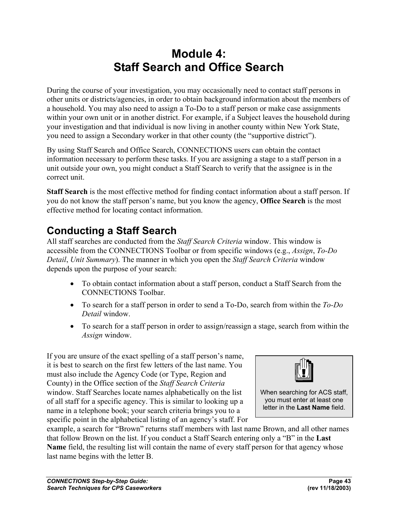### **Module 4: Staff Search and Office Search**

During the course of your investigation, you may occasionally need to contact staff persons in other units or districts/agencies, in order to obtain background information about the members of a household. You may also need to assign a To-Do to a staff person or make case assignments within your own unit or in another district. For example, if a Subject leaves the household during your investigation and that individual is now living in another county within New York State, you need to assign a Secondary worker in that other county (the "supportive district").

By using Staff Search and Office Search, CONNECTIONS users can obtain the contact information necessary to perform these tasks. If you are assigning a stage to a staff person in a unit outside your own, you might conduct a Staff Search to verify that the assignee is in the correct unit.

**Staff Search** is the most effective method for finding contact information about a staff person. If you do not know the staff person's name, but you know the agency, **Office Search** is the most effective method for locating contact information.

### **Conducting a Staff Search**

All staff searches are conducted from the *Staff Search Criteria* window. This window is accessible from the CONNECTIONS Toolbar or from specific windows (e.g., *Assign*, *To-Do Detail*, *Unit Summary*). The manner in which you open the *Staff Search Criteria* window depends upon the purpose of your search:

- To obtain contact information about a staff person, conduct a Staff Search from the CONNECTIONS Toolbar.
- To search for a staff person in order to send a To-Do, search from within the *To-Do Detail* window.
- To search for a staff person in order to assign/reassign a stage, search from within the *Assign* window.

If you are unsure of the exact spelling of a staff person's name, it is best to search on the first few letters of the last name. You must also include the Agency Code (or Type, Region and County) in the Office section of the *Staff Search Criteria*  window. Staff Searches locate names alphabetically on the list of all staff for a specific agency. This is similar to looking up a name in a telephone book; your search criteria brings you to a specific point in the alphabetical listing of an agency's staff. For



When searching for ACS staff, you must enter at least one letter in the **Last Name** field.

example, a search for "Brown" returns staff members with last name Brown, and all other names that follow Brown on the list. If you conduct a Staff Search entering only a "B" in the **Last Name** field, the resulting list will contain the name of every staff person for that agency whose last name begins with the letter B.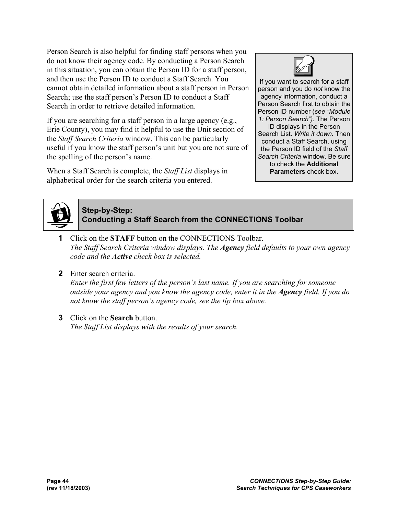Person Search is also helpful for finding staff persons when you do not know their agency code. By conducting a Person Search in this situation, you can obtain the Person ID for a staff person, and then use the Person ID to conduct a Staff Search. You cannot obtain detailed information about a staff person in Person Search; use the staff person's Person ID to conduct a Staff Search in order to retrieve detailed information.

If you are searching for a staff person in a large agency (e.g., Erie County), you may find it helpful to use the Unit section of the *Staff Search Criteria* window. This can be particularly useful if you know the staff person's unit but you are not sure of the spelling of the person's name.

When a Staff Search is complete, the *Staff List* displays in alphabetical order for the search criteria you entered.



If you want to search for a staff person and you do *not* know the agency information, conduct a Person Search first to obtain the Person ID number (*see "Module 1: Person Search").* The Person ID displays in the Person Search List. *Write it down.* Then conduct a Staff Search, using the Person ID field of the *Staff Search Criteria* window. Be sure to check the **Additional Parameters** check box.



### **Step-by-Step: Conducting a Staff Search from the CONNECTIONS Toolbar**

- **1** Click on the **STAFF** button on the CONNECTIONS Toolbar. *The Staff Search Criteria window displays. The Agency field defaults to your own agency code and the Active check box is selected.*
- **2** Enter search criteria.

*Enter the first few letters of the person's last name. If you are searching for someone outside your agency and you know the agency code, enter it in the Agency field. If you do not know the staff person's agency code, see the tip box above.* 

**3** Click on the **Search** button.

*The Staff List displays with the results of your search.*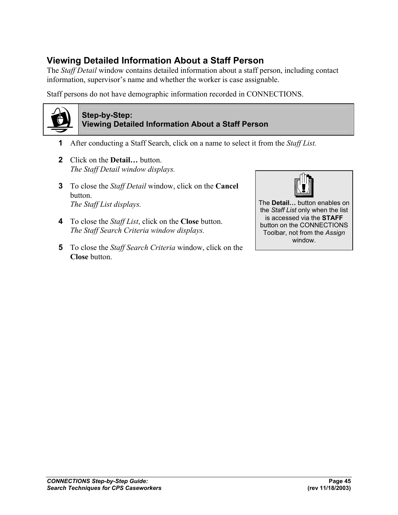### **Viewing Detailed Information About a Staff Person**

The *Staff Detail* window contains detailed information about a staff person, including contact information, supervisor's name and whether the worker is case assignable.

Staff persons do not have demographic information recorded in CONNECTIONS.



#### **Step-by-Step: Viewing Detailed Information About a Staff Person**

- **1** After conducting a Staff Search, click on a name to select it from the *Staff List.*
- **2** Click on the **Detail…** button. *The Staff Detail window displays.*
- **3** To close the *Staff Detail* window, click on the **Cancel** button. *The Staff List displays.*
- **4** To close the *Staff List*, click on the **Close** button. *The Staff Search Criteria window displays.*
- **5** To close the *Staff Search Criteria* window, click on the **Close** button.



The **Detail…** button enables on the *Staff List* only when the list is accessed via the **STAFF** button on the CONNECTIONS Toolbar, not from the *Assign* window.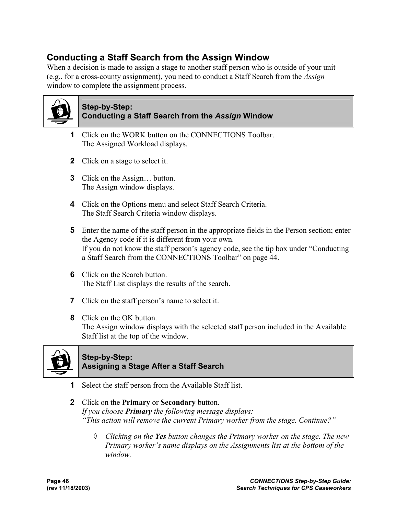### **Conducting a Staff Search from the Assign Window**

When a decision is made to assign a stage to another staff person who is outside of your unit (e.g., for a cross-county assignment), you need to conduct a Staff Search from the *Assign*  window to complete the assignment process.



#### **Step-by-Step: Conducting a Staff Search from the** *Assign* **Window**

- **1** Click on the WORK button on the CONNECTIONS Toolbar. The Assigned Workload displays.
- **2** Click on a stage to select it.
- **3** Click on the Assign… button. The Assign window displays.
- **4** Click on the Options menu and select Staff Search Criteria. The Staff Search Criteria window displays.
- **5** Enter the name of the staff person in the appropriate fields in the Person section; enter the Agency code if it is different from your own. If you do not know the staff person's agency code, see the tip box under "Conducting a Staff Search from the CONNECTIONS Toolbar" on page 44.
- **6** Click on the Search button. The Staff List displays the results of the search.
- **7** Click on the staff person's name to select it.
- **8** Click on the OK button. The Assign window displays with the selected staff person included in the Available Staff list at the top of the window.



#### **Step-by-Step: Assigning a Stage After a Staff Search**

- **1** Select the staff person from the Available Staff list.
- **2** Click on the **Primary** or **Secondary** button. *If you choose Primary the following message displays: "This action will remove the current Primary worker from the stage. Continue?"* 
	- ◊ *Clicking on the Yes button changes the Primary worker on the stage. The new Primary worker's name displays on the Assignments list at the bottom of the window.*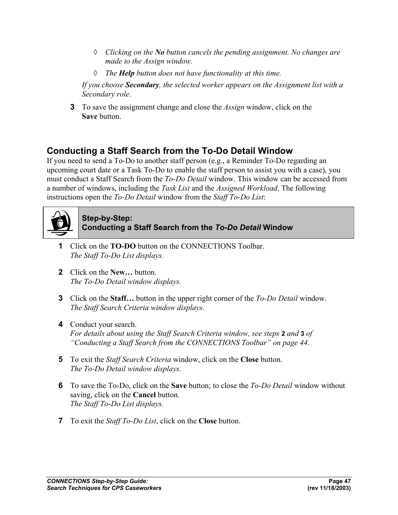- ◊ *Clicking on the No button cancels the pending assignment. No changes are made to the Assign window.*
- ◊ *The Help button does not have functionality at this time.*

 *If you choose Secondary, the selected worker appears on the Assignment list with a Secondary role*.

**3** To save the assignment change and close the *Assign* window, click on the **Save** button.

### **Conducting a Staff Search from the To-Do Detail Window**

If you need to send a To-Do to another staff person (e.g., a Reminder To-Do regarding an upcoming court date or a Task To-Do to enable the staff person to assist you with a case), you must conduct a Staff Search from the *To-Do Detail* window. This window can be accessed from a number of windows, including the *Task List* and the *Assigned Workload*. The following instructions open the *To-Do Detail* window from the *Staff To-Do List*:



#### **Step-by-Step: Conducting a Staff Search from the** *To-Do Detail* **Window**

- **1** Click on the **TO-DO** button on the CONNECTIONS Toolbar. *The Staff To-Do List displays.*
- **2** Click on the **New…** button. *The To-Do Detail window displays.*
- **3** Click on the **Staff…** button in the upper right corner of the *To-Do Detail* window. *The Staff Search Criteria window displays.*
- **4** Conduct your search. *For details about using the Staff Search Criteria window, see steps* **2** *and* **3** *of "Conducting a Staff Search from the CONNECTIONS Toolbar" on page 44.*
- **5** To exit the *Staff Search Criteria* window, click on the **Close** button. *The To-Do Detail window displays.*
- **6** To save the To-Do, click on the **Save** button; to close the *To-Do Detail* window without saving, click on the **Cancel** button. *The Staff To-Do List displays.*
- **7** To exit the *Staff To-Do List*, click on the **Close** button.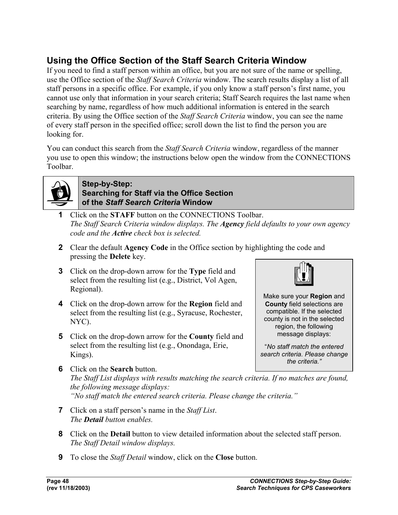### **Using the Office Section of the Staff Search Criteria Window**

If you need to find a staff person within an office, but you are not sure of the name or spelling, use the Office section of the *Staff Search Criteria* window. The search results display a list of all staff persons in a specific office. For example, if you only know a staff person's first name, you cannot use only that information in your search criteria; Staff Search requires the last name when searching by name, regardless of how much additional information is entered in the search criteria. By using the Office section of the *Staff Search Criteria* window, you can see the name of every staff person in the specified office; scroll down the list to find the person you are looking for.

You can conduct this search from the *Staff Search Criteria* window, regardless of the manner you use to open this window; the instructions below open the window from the CONNECTIONS Toolbar.



#### **Step-by-Step: Searching for Staff via the Office Section of the** *Staff Search Criteria* **Window**

- **1** Click on the **STAFF** button on the CONNECTIONS Toolbar. *The Staff Search Criteria window displays. The Agency field defaults to your own agency code and the Active check box is selected.*
- **2** Clear the default **Agency Code** in the Office section by highlighting the code and pressing the **Delete** key.
- **3** Click on the drop-down arrow for the **Type** field and select from the resulting list (e.g., District, Vol Agen, Regional).
- **4** Click on the drop-down arrow for the **Region** field and select from the resulting list (e.g., Syracuse, Rochester, NYC).
- **5** Click on the drop-down arrow for the **County** field and select from the resulting list (e.g., Onondaga, Erie, Kings).



Make sure your **Region** and **County** field selections are compatible. If the selected county is not in the selected region, the following message displays:

"*No staff match the entered search criteria. Please change the criteria."*

- **6** Click on the **Search** button. *The Staff List displays with results matching the search criteria. If no matches are found, the following message displays: "No staff match the entered search criteria. Please change the criteria."*
- **7** Click on a staff person's name in the *Staff List*. *The Detail button enables.*
- **8** Click on the **Detail** button to view detailed information about the selected staff person. *The Staff Detail window displays.*
- **9** To close the *Staff Detail* window, click on the **Close** button.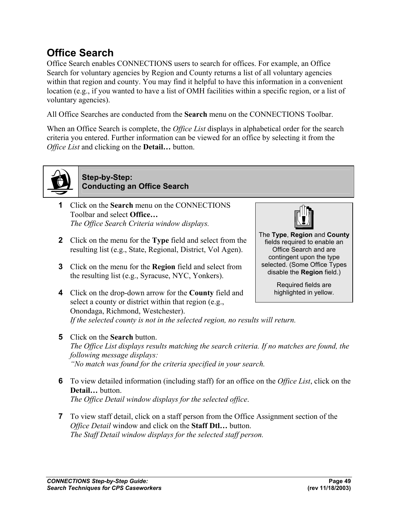### **Office Search**

Office Search enables CONNECTIONS users to search for offices. For example, an Office Search for voluntary agencies by Region and County returns a list of all voluntary agencies within that region and county. You may find it helpful to have this information in a convenient location (e.g., if you wanted to have a list of OMH facilities within a specific region, or a list of voluntary agencies).

All Office Searches are conducted from the **Search** menu on the CONNECTIONS Toolbar.

When an Office Search is complete, the *Office List* displays in alphabetical order for the search criteria you entered. Further information can be viewed for an office by selecting it from the *Office List* and clicking on the **Detail…** button.



**Step-by-Step: Conducting an Office Search**

- **1** Click on the **Search** menu on the CONNECTIONS Toolbar and select **Office…** *The Office Search Criteria window displays.*
- **2** Click on the menu for the **Type** field and select from the resulting list (e.g., State, Regional, District, Vol Agen).
- **3** Click on the menu for the **Region** field and select from the resulting list (e.g., Syracuse, NYC, Yonkers).
- **4** Click on the drop-down arrow for the **County** field and select a county or district within that region (e.g., Onondaga, Richmond, Westchester). *If the selected county is not in the selected region, no results will return.*



The **Type**, **Region** and **County**  fields required to enable an Office Search and are contingent upon the type selected. (Some Office Types disable the **Region** field.)

> Required fields are highlighted in yellow.

- **5** Click on the **Search** button. *The Office List displays results matching the search criteria. If no matches are found, the following message displays: "No match was found for the criteria specified in your search.*
- **6** To view detailed information (including staff) for an office on the *Office List*, click on the **Detail…** button. *The Office Detail window displays for the selected office*.
- **7** To view staff detail, click on a staff person from the Office Assignment section of the *Office Detail* window and click on the **Staff Dtl…** button. *The Staff Detail window displays for the selected staff person.*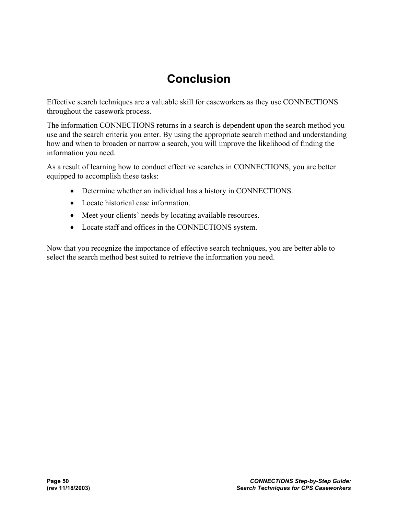### **Conclusion**

Effective search techniques are a valuable skill for caseworkers as they use CONNECTIONS throughout the casework process.

The information CONNECTIONS returns in a search is dependent upon the search method you use and the search criteria you enter. By using the appropriate search method and understanding how and when to broaden or narrow a search, you will improve the likelihood of finding the information you need.

As a result of learning how to conduct effective searches in CONNECTIONS, you are better equipped to accomplish these tasks:

- Determine whether an individual has a history in CONNECTIONS.
- Locate historical case information.
- Meet your clients' needs by locating available resources.
- Locate staff and offices in the CONNECTIONS system.

Now that you recognize the importance of effective search techniques, you are better able to select the search method best suited to retrieve the information you need.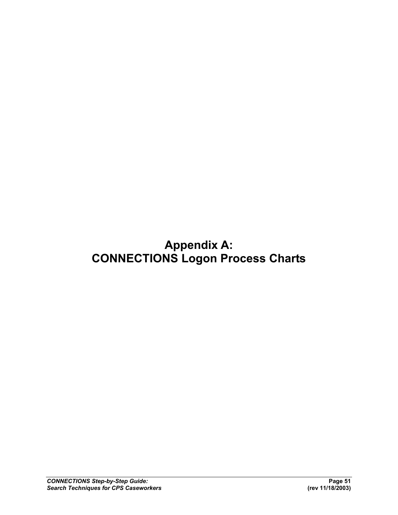### **Appendix A: CONNECTIONS Logon Process Charts**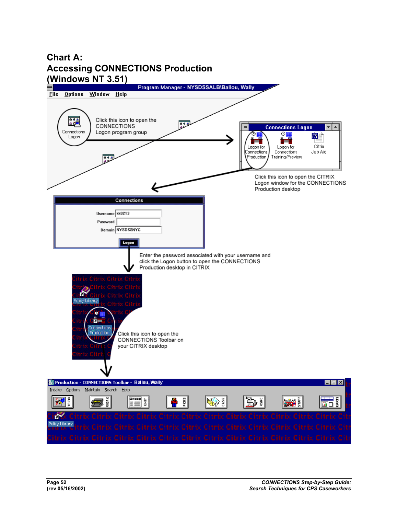### **Chart A: Accessing CONNECTIONS Production (Windows NT 3.51)**

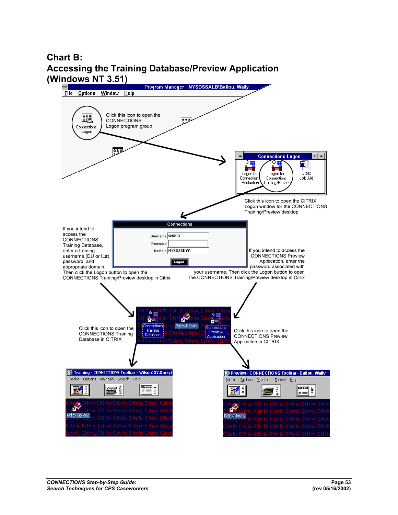### **Chart B: Accessing the Training Database/Preview Application (Windows NT 3.51)**

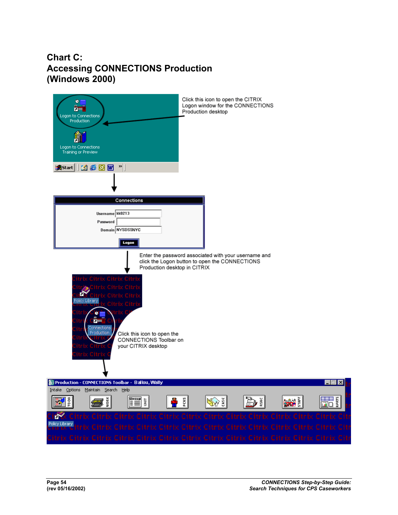### **Chart C: Accessing CONNECTIONS Production (Windows 2000)**